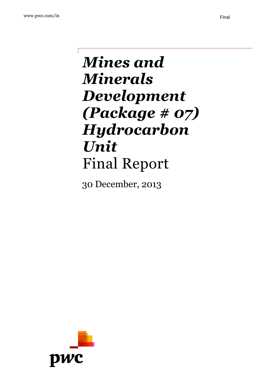# *Mines and Minerals Development (Package # 07) Hydrocarbon Unit* Final Report

30 December, 2013

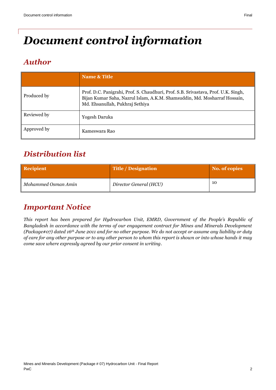# *Document control information*

# *Author*

|             | Name & Title                                                                                                                                                                                       |
|-------------|----------------------------------------------------------------------------------------------------------------------------------------------------------------------------------------------------|
| Produced by | Prof. D.C. Panigrahi, Prof. S. Chaudhuri, Prof. S.B. Srivastava, Prof. U.K. Singh,<br>Bijan Kumar Saha, Nazrul Islam, A.K.M. Shamsuddin, Md. Mosharraf Hossain,<br>Md. Ehsanullah, Pukhraj Sethiya |
| Reviewed by | Yogesh Daruka                                                                                                                                                                                      |
| Approved by | Kameswara Rao                                                                                                                                                                                      |

# *Distribution list*

| <b>Recipient</b>    | <b>Title / Designation</b> | No. of copies |
|---------------------|----------------------------|---------------|
| Mohammed Osman Amin | Director General (HCU)     | 10            |

# *Important Notice*

*This report has been prepared for Hydrocarbon Unit, EMRD, Government of the People's Republic of Bangladesh in accordance with the terms of our engagement contract for Mines and Minerals Development (Package#07) dated 16th June 2011 and for no other purpose. We do not accept or assume any liability or duty of care for any other purpose or to any other person to whom this report is shown or into whose hands it may come save where expressly agreed by our prior consent in writing.*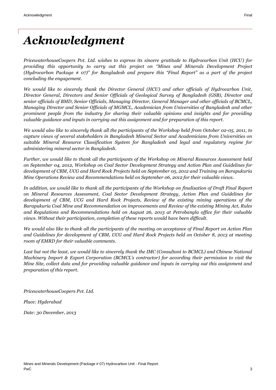# *Acknowledgment*

*PricewaterhouseCoopers Pvt. Ltd. wishes to express its sincere gratitude to Hydrocarbon Unit (HCU) for providing this opportunity to carry out this project on "Mines and Minerals Development Project (Hydrocarbon Package # 07)" for Bangladesh and prepare this "Final Report" as a part of the project concluding the engagement.*

*We would like to sincerely thank the Director General (HCU) and other officials of Hydrocarbon Unit, Director General, Directors and Senior Officials of Geological Survey of Bangladesh (GSB), Director and senior officials of BMD, Senior Officials, Managing Director, General Manager and other officials of BCMCL, Managing Director and Senior Officials of MGMCL, Academician from Universities of Bangladesh and other prominent people from the industry for sharing their valuable opinions and insights and for providing valuable guidance and inputs in carrying out this assignment and for preparation of this report.* 

*We would also like to sincerely thank all the participants of the Workshop held from October 02-05, 2011, to capture views of several stakeholders in Bangladesh Mineral Sector and Academicians from Universities on suitable Mineral Resource Classification System for Bangladesh and legal and regulatory regime for administering mineral sector in Bangladesh.* 

*Further, we would like to thank all the participants of the Workshop on Mineral Resources Assessment held on September 04, 2012, Workshop on Coal Sector Development Strategy and Action Plan and Guidelines for development of CBM, UCG and Hard Rock Projects held on September 05, 2012 and Training on Barapukuria Mine Operations Review and Recommendations held on September 06, 2012 for their valuable views.*

*In addition, we would like to thank all the participants of the Workshop on finalisation of Draft Final Report on Mineral Resources Assessment, Coal Sector Development Strategy, Action Plan and Guidelines for development of CBM, UCG and Hard Rock Projects, Review of the existing mining operations of the Barapukuria Coal Mine and Recommendation on improvements and Review of the existing Mining Act, Rules and Regulations and Recommendations held on August 26, 2013 at Petrobangla office for their valuable views. Without their participation, completion of these reports would have been difficult.*

*We would also like to thank all the participants of the meeting on acceptance of Final Report on Action Plan and Guidelines for development of CBM, UCG and Hard Rock Projects held on October 8, 2013 at meeting room of EMRD for their valuable comments.*

Last but not the least, we would like to sincerely thank the IMC (Consultant to BCMCL) and Chinese National *Machinery Import & Export Corporation (BCMCL's contractor) for according their permission to visit the Mine Site, collect data and for providing valuable guidance and inputs in carrying out this assignment and preparation of this report.* 

*PricewaterhouseCoopers Pvt. Ltd.* 

*Place: Hyderabad*

*Date: 30 December, 2013*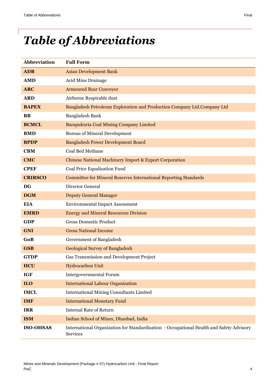# *Table of Abbreviations*

| <b>Abbreviation</b> | <b>Full Form</b>                                                                                            |
|---------------------|-------------------------------------------------------------------------------------------------------------|
| <b>ADB</b>          | <b>Asian Development Bank</b>                                                                               |
| <b>AMD</b>          | Acid Mine Drainage                                                                                          |
| <b>ARC</b>          | <b>Armoured Rear Conveyor</b>                                                                               |
| <b>ARD</b>          | Airborne Respirable dust                                                                                    |
| <b>BAPEX</b>        | Bangladesh Petroleum Exploration and Production Company Ltd.Company Ltd                                     |
| <b>BB</b>           | Bangladesh Bank                                                                                             |
| <b>BCMCL</b>        | Barapukuria Coal Mining Company Limited                                                                     |
| <b>BMD</b>          | <b>Bureau of Mineral Development</b>                                                                        |
| <b>BPDP</b>         | <b>Bangladesh Power Development Board</b>                                                                   |
| <b>CBM</b>          | <b>Coal Bed Methane</b>                                                                                     |
| <b>CMC</b>          | <b>Chinese National Machinery Import &amp; Export Corporation</b>                                           |
| <b>CPEF</b>         | Coal Price Equalization Fund                                                                                |
| <b>CRIRSCO</b>      | <b>Committee for Mineral Reserves International Reporting Standards</b>                                     |
| <b>DG</b>           | Director General                                                                                            |
| <b>DGM</b>          | <b>Deputy General Manager</b>                                                                               |
| <b>EIA</b>          | <b>Environmental Impact Assessment</b>                                                                      |
| <b>EMRD</b>         | <b>Energy and Mineral Resources Division</b>                                                                |
| <b>GDP</b>          | <b>Gross Domestic Product</b>                                                                               |
| <b>GNI</b>          | <b>Gross National Income</b>                                                                                |
| GoB                 | Government of Bangladesh                                                                                    |
| <b>GSB</b>          | <b>Geological Survey of Bangladesh</b>                                                                      |
| <b>GTDP</b>         | Gas Transmission and Development Project                                                                    |
| <b>HCU</b>          | Hydrocarbon Unit                                                                                            |
| <b>IGF</b>          | <b>Intergovernmental Forum</b>                                                                              |
| ILO                 | <b>International Labour Organization</b>                                                                    |
| <b>IMCL</b>         | <b>International Mining Consultants Limited</b>                                                             |
| <b>IMF</b>          | <b>International Monetary Fund</b>                                                                          |
| <b>IRR</b>          | <b>Internal Rate of Return</b>                                                                              |
| <b>ISM</b>          | Indian School of Mines, Dhanbad, India                                                                      |
| <b>ISO-OHSAS</b>    | International Organization for Standardization - Occupational Health and Safety Advisory<br><b>Services</b> |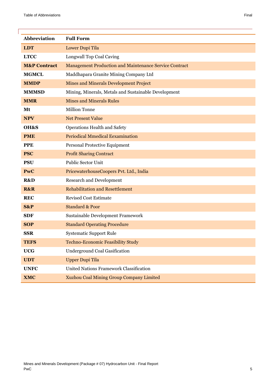| Abbreviation            | <b>Full Form</b>                                              |
|-------------------------|---------------------------------------------------------------|
| <b>LDT</b>              | Lower Dupi Tila                                               |
| <b>LTCC</b>             | Longwall Top Coal Caving                                      |
| <b>M&amp;P Contract</b> | <b>Management Production and Maintenance Service Contract</b> |
| <b>MGMCL</b>            | Maddhapara Granite Mining Company Ltd                         |
| <b>MMDP</b>             | <b>Mines and Minerals Development Project</b>                 |
| <b>MMMSD</b>            | Mining, Minerals, Metals and Sustainable Development          |
| <b>MMR</b>              | <b>Mines and Minerals Rules</b>                               |
| Mt                      | <b>Million Tonne</b>                                          |
| <b>NPV</b>              | <b>Net Present Value</b>                                      |
| OH&S                    | Operations Health and Safety                                  |
| <b>PME</b>              | <b>Periodical Mmedical Eexamination</b>                       |
| <b>PPE</b>              | Personal Protective Equipment                                 |
| <b>PSC</b>              | <b>Profit Sharing Contract</b>                                |
| <b>PSU</b>              | Public Sector Unit                                            |
| PwC                     | PricewaterhouseCoopers Pvt. Ltd., India                       |
| R&D                     | <b>Research and Development</b>                               |
| <b>R&amp;R</b>          | <b>Rehabilitation and Resettlement</b>                        |
| <b>REC</b>              | <b>Revised Cost Estimate</b>                                  |
| S&P                     | <b>Standard &amp; Poor</b>                                    |
| <b>SDF</b>              | Sustainable Development Framework                             |
| <b>SOP</b>              | <b>Standard Operating Procedure</b>                           |
| <b>SSR</b>              | Systematic Support Rule                                       |
| <b>TEFS</b>             | <b>Techno-Economic Feasibility Study</b>                      |
| <b>UCG</b>              | <b>Underground Coal Gasification</b>                          |
| <b>UDT</b>              | <b>Upper Dupi Tila</b>                                        |
| <b>UNFC</b>             | United Nations Framework Classification                       |
| <b>XMC</b>              | <b>Xuzhou Coal Mining Group Company Limited</b>               |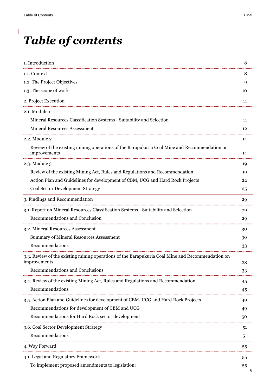# *Table of contents*

| 1. Introduction                                                                                                  | 8  |
|------------------------------------------------------------------------------------------------------------------|----|
| 1.1. Context                                                                                                     | 8  |
| 1.2. The Project Objectives                                                                                      | 9  |
| 1.3. The scope of work                                                                                           | 10 |
| 2. Project Execution                                                                                             | 11 |
| 2.1. Module 1                                                                                                    | 11 |
| Mineral Resources Classification Systems - Suitability and Selection                                             | 11 |
| <b>Mineral Resources Assessment</b>                                                                              | 12 |
| 2.2. Module 2                                                                                                    | 14 |
| Review of the existing mining operations of the Barapukuria Coal Mine and Recommendation on<br>improvements      | 14 |
| 2.3. Module 3                                                                                                    | 19 |
| Review of the existing Mining Act, Rules and Regulations and Recommendation                                      | 19 |
| Action Plan and Guidelines for development of CBM, UCG and Hard Rock Projects                                    | 22 |
| Coal Sector Development Strategy                                                                                 | 25 |
| 3. Findings and Recommendation                                                                                   | 29 |
| 3.1. Report on Mineral Resources Classification Systems - Suitability and Selection                              | 29 |
| Recommendations and Conclusion                                                                                   | 29 |
| 3.2. Mineral Resources Assessment                                                                                | 30 |
| <b>Summary of Mineral Resources Assessment</b>                                                                   | 30 |
| Recommendations                                                                                                  | 33 |
| 3.3. Review of the existing mining operations of the Barapukuria Coal Mine and Recommendation on<br>improvements | 33 |
| Recommendations and Conclusions                                                                                  | 33 |
| 3.4. Review of the existing Mining Act, Rules and Regulations and Recommendation                                 | 45 |
| Recommendations                                                                                                  | 45 |
| 3.5. Action Plan and Guidelines for development of CBM, UCG and Hard Rock Projects                               | 49 |
| Recommendations for development of CBM and UCG                                                                   | 49 |
| Recommendations for Hard Rock sector development                                                                 | 50 |
| 3.6. Coal Sector Development Strategy                                                                            | 51 |
| Recommendations                                                                                                  | 51 |
| 4. Way Forward                                                                                                   | 55 |
| 4.1. Legal and Regulatory Framework                                                                              | 55 |
| To implement proposed amendments to legislation:                                                                 | 55 |
|                                                                                                                  |    |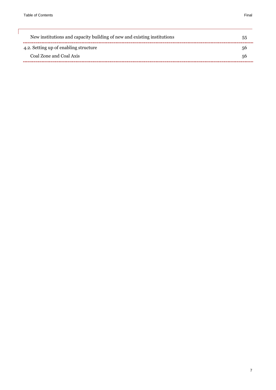| New institutions and capacity building of new and existing institutions | ר.ר |
|-------------------------------------------------------------------------|-----|
| 4.2. Setting up of enabling structure                                   | 56  |
| Coal Zone and Coal Axis                                                 | 56  |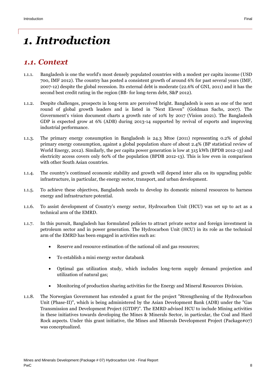# <span id="page-7-0"></span>*1. Introduction*

## <span id="page-7-1"></span>*1.1. Context*

- 1.1.1. Bangladesh is one the world's most densely populated countries with a modest per capita income (USD 700, IMF 2012). The country has posted a consistent growth of around 6% for past several years (IMF, 2007-12) despite the global recession. Its external debt is moderate (22.6% of GNI, 2011) and it has the second best credit rating in the region (BB- for long-term debt, S&P 2012).
- 1.1.2. Despite challenges, prospects in long-term are perceived bright. Bangladesh is seen as one of the next round of global growth leaders and is listed in "Next Eleven" (Goldman Sachs, 2007). The Government's vision document charts a growth rate of 10% by 2017 (Vision 2021). The Bangladesh GDP is expected grow at 6% (ADB) during 2013-14 supported by revival of exports and improving industrial performance.
- 1.1.3. The primary energy consumption in Bangladesh is 24.3 Mtoe (2011) representing 0.2% of global primary energy consumption, against a global population share of about 2.4% (BP statistical review of World Energy, 2012). Similarly, the per capita power generation is low at 315 kWh (BPDB 2012-13) and electricity access covers only 60% of the population (BPDB 2012-13). This is low even in comparison with other South Asian countries.
- 1.1.4. The country's continued economic stability and growth will depend inter alia on its upgrading public infrastructure, in particular, the energy sector, transport, and urban development.
- 1.1.5. To achieve these objectives, Bangladesh needs to develop its domestic mineral resources to harness energy and infrastructure potential.
- 1.1.6. To assist development of Country's energy sector, Hydrocarbon Unit (HCU) was set up to act as a technical arm of the EMRD.
- 1.1.7. In this pursuit, Bangladesh has formulated policies to attract private sector and foreign investment in petroleum sector and in power generation. The Hydrocarbon Unit (HCU) in its role as the technical arm of the EMRD has been engaged in activities such as:
	- Reserve and resource estimation of the national oil and gas resources;
	- To establish a mini energy sector databank
	- Optimal gas utilization study, which includes long-term supply demand projection and utilization of natural gas;
	- Monitoring of production sharing activities for the Energy and Mineral Resources Division.
- 1.1.8. The Norwegian Government has extended a grant for the project "Strengthening of the Hydrocarbon Unit (Phase-II)", which is being administered by the Asian Development Bank (ADB) under the "Gas Transmission and Development Project (GTDP)". The EMRD advised HCU to include Mining activities in these initiatives towards developing the Mines & Minerals Sector, in particular, the Coal and Hard Rock aspects. Under this grant initiative, the Mines and Minerals Development Project (Package#07) was conceptualized.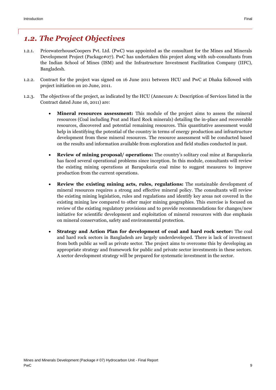## <span id="page-8-0"></span>*1.2. The Project Objectives*

- 1.2.1. PricewaterhouseCoopers Pvt. Ltd. (PwC) was appointed as the consultant for the Mines and Minerals Development Project (Package#07). PwC has undertaken this project along with sub-consultants from the Indian School of Mines (ISM) and the Infrastructure Investment Facilitation Company (IIFC), Bangladesh.
- 1.2.2. Contract for the project was signed on 16 June 2011 between HCU and PwC at Dhaka followed with project initiation on 20 June, 2011.
- 1.2.3. The objectives of the project, as indicated by the HCU (Annexure A: Description of Services listed in the Contract dated June 16, 2011) are:
	- **Mineral resources assessment:** This module of the project aims to assess the mineral resources (Coal including Peat and Hard Rock minerals) detailing the in-place and recoverable resources, discovered and potential remaining resources. This quantitative assessment would help in identifying the potential of the country in terms of energy production and infrastructure development from these mineral resources. The resource assessment will be conducted based on the results and information available from exploration and field studies conducted in past.
	- **Review of mining proposal/ operations:** The country's solitary coal mine at Barapukuria has faced several operational problems since inception. In this module, consultants will review the existing mining operations at Barapukuria coal mine to suggest measures to improve production from the current operations.
	- **Review the existing mining acts, rules, regulations:** The sustainable development of mineral resources requires a strong and effective mineral policy. The consultants will review the existing mining legislation, rules and regulations and identify key areas not covered in the existing mining law compared to other major mining geographies. This exercise is focused on review of the existing regulatory provisions and to provide recommendations for changes/new initiative for scientific development and exploitation of mineral resources with due emphasis on mineral conservation, safety and environmental protection.
	- **Strategy and Action Plan for development of coal and hard rock sector:** The coal and hard rock sectors in Bangladesh are largely underdeveloped. There is lack of investment from both public as well as private sector. The project aims to overcome this by developing an appropriate strategy and framework for public and private sector investments in these sectors. A sector development strategy will be prepared for systematic investment in the sector.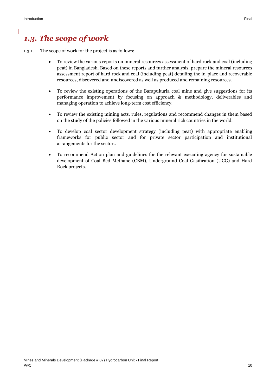## <span id="page-9-0"></span>*1.3. The scope of work*

- 1.3.1. The scope of work for the project is as follows:
	- To review the various reports on mineral resources assessment of hard rock and coal (including peat) in Bangladesh. Based on these reports and further analysis, prepare the mineral resources assessment report of hard rock and coal (including peat) detailing the in-place and recoverable resources, discovered and undiscovered as well as produced and remaining resources.
	- To review the existing operations of the Barapukuria coal mine and give suggestions for its performance improvement by focusing on approach & methodology, deliverables and managing operation to achieve long-term cost efficiency.
	- To review the existing mining acts, rules, regulations and recommend changes in them based on the study of the policies followed in the various mineral rich countries in the world.
	- To develop coal sector development strategy (including peat) with appropriate enabling frameworks for public sector and for private sector participation and institutional arrangements for the sector..
	- To recommend Action plan and guidelines for the relevant executing agency for sustainable development of Coal Bed Methane (CBM), Underground Coal Gasification (UCG) and Hard Rock projects.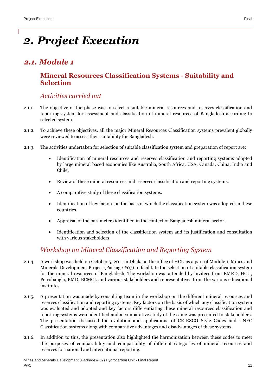# <span id="page-10-0"></span>*2. Project Execution*

# <span id="page-10-2"></span><span id="page-10-1"></span>*2.1. Module 1*

### **Mineral Resources Classification Systems - Suitability and Selection**

#### *Activities carried out*

- 2.1.1. The objective of the phase was to select a suitable mineral resources and reserves classification and reporting system for assessment and classification of mineral resources of Bangladesh according to selected system.
- 2.1.2. To achieve these objectives, all the major Mineral Resources Classification systems prevalent globally were reviewed to assess their suitability for Bangladesh.
- 2.1.3. The activities undertaken for selection of suitable classification system and preparation of report are:
	- Identification of mineral resources and reserves classification and reporting systems adopted by large mineral based economies like Australia, South Africa, USA, Canada, China, India and Chile.
	- Review of these mineral resources and reserves classification and reporting systems.
	- A comparative study of these classification systems.
	- Identification of key factors on the basis of which the classification system was adopted in these countries.
	- Appraisal of the parameters identified in the context of Bangladesh mineral sector.
	- Identification and selection of the classification system and its justification and consultation with various stakeholders.

### *Workshop on Mineral Classification and Reporting System*

- 2.1.4. A workshop was held on October 5, 2011 in Dhaka at the office of HCU as a part of Module 1, Mines and Minerals Development Project (Package #07) to facilitate the selection of suitable classification system for the mineral resources of Bangladesh. The workshop was attended by invitees from EMRD, HCU, Petrobangla, BMD, BCMCL and various stakeholders and representatives from the various educational institutes.
- 2.1.5. A presentation was made by consulting team in the workshop on the different mineral resources and reserves classification and reporting systems. Key factors on the basis of which any classification system was evaluated and adopted and key factors differentiating these mineral resources classification and reporting systems were identified and a comparative study of the same was presented to stakeholders. The presentation discussed the evolution and applications of CRIRSCO Style Codes and UNFC Classification systems along with comparative advantages and disadvantages of these systems.
- 2.1.6. In addition to this, the presentation also highlighted the harmonization between these codes to meet the purposes of comparability and compatibility of different categories of mineral resources and reserves for national and international reporting.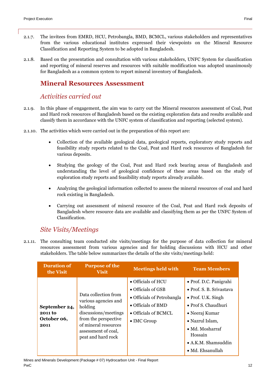- 2.1.7. The invitees from EMRD, HCU, Petrobangla, BMD, BCMCL, various stakeholders and representatives from the various educational institutes expressed their viewpoints on the Mineral Resource Classification and Reporting System to be adopted in Bangladesh.
- 2.1.8. Based on the presentation and consultation with various stakeholders, UNFC System for classification and reporting of mineral reserves and resources with suitable modification was adopted unanimously for Bangladesh as a common system to report mineral inventory of Bangladesh.

#### <span id="page-11-0"></span>**Mineral Resources Assessment**

#### *Activities carried out*

- 2.1.9. In this phase of engagement, the aim was to carry out the Mineral resources assessment of Coal, Peat and Hard rock resources of Bangladesh based on the existing exploration data and results available and classify them in accordance with the UNFC system of classification and reporting (selected system).
- 2.1.10. The activities which were carried out in the preparation of this report are:
	- Collection of the available geological data, geological reports, exploratory study reports and feasibility study reports related to the Coal, Peat and Hard rock resources of Bangladesh for various deposits.
	- Studying the geology of the Coal, Peat and Hard rock bearing areas of Bangladesh and understanding the level of geological confidence of these areas based on the study of exploration study reports and feasibility study reports already available.
	- Analyzing the geological information collected to assess the mineral resources of coal and hard rock existing in Bangladesh.
	- Carrying out assessment of mineral resource of the Coal, Peat and Hard rock deposits of Bangladesh where resource data are available and classifying them as per the UNFC System of Classification.

### *Site Visits/Meetings*

2.1.11. The consulting team conducted site visits/meetings for the purpose of data collection for mineral resources assessment from various agencies and for holding discussions with HCU and other stakeholders. The table below summarizes the details of the site visits/meetings held:

| <b>Duration of</b><br>the Visit                        | <b>Purpose of the</b><br><b>Visit</b>                                                                                                                                        | <b>Meetings held with</b>                                                                                                                                           | <b>Team Members</b>                                                                                                                                                                                                                                   |
|--------------------------------------------------------|------------------------------------------------------------------------------------------------------------------------------------------------------------------------------|---------------------------------------------------------------------------------------------------------------------------------------------------------------------|-------------------------------------------------------------------------------------------------------------------------------------------------------------------------------------------------------------------------------------------------------|
| September 24,<br><b>2011 to</b><br>October 06,<br>2011 | Data collection from<br>various agencies and<br>holding<br>discussions/meetings<br>from the perspective<br>of mineral resources<br>assessment of coal,<br>peat and hard rock | $\bullet$ Officials of HCU<br>$\bullet$ Officials of GSB<br>• Officials of Petrobangla<br>$\bullet$ Officials of BMD<br>• Officials of BCMCL<br>$\bullet$ IMC Group | • Prof. D.C. Panigrahi<br>• Prof. S. B. Srivastava<br>$\bullet$ Prof. U.K. Singh<br>$\bullet$ Prof S. Chaudhuri<br>• Neeraj Kumar<br>• Nazrul Islam,<br>$\bullet$ Md. Mosharraf<br>Hossain<br>$\bullet$ A.K.M. Shamsuddin<br>$\bullet$ Md. Ehsanullah |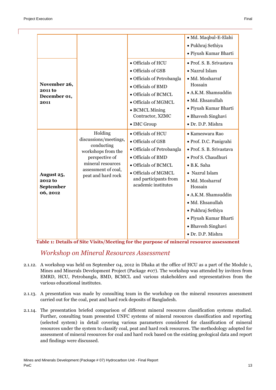| November 26,<br><b>2011 to</b><br>December 01,<br>2011 |                                                                                  | · Officials of HCU<br>• Officials of GSB<br>• Officials of Petrobangla<br>• Officials of BMD<br>• Officials of BCMCL<br>· Officials of MGMCL<br>• BCMCL Mining | · Md. Maqbul-E-Elahi<br>· Pukhraj Sethiya<br>· Piyush Kumar Bharti<br>· Prof. S. B. Srivastava<br>• Nazrul Islam<br>· Md. Mosharraf<br>Hossain<br>· A.K.M. Shamsuddin<br>· Md. Ehsanullah<br>· Piyush Kumar Bharti     |
|--------------------------------------------------------|----------------------------------------------------------------------------------|----------------------------------------------------------------------------------------------------------------------------------------------------------------|------------------------------------------------------------------------------------------------------------------------------------------------------------------------------------------------------------------------|
|                                                        | Holding<br>discussions/meetings,<br>conducting<br>workshops from the             | Contractor, XZMC<br>• IMC Group<br>• Officials of HCU<br>· Officials of GSB<br>• Officials of Petrobangla                                                      | • Bhavesh Singhavi<br>· Dr. D.P. Mishra<br>• Kameswara Rao<br>· Prof. D.C. Panigrahi<br>· Prof. S. B. Srivastava                                                                                                       |
| August 25,<br>2012 to<br>September<br>06, 2012         | perspective of<br>mineral resources<br>assessment of coal,<br>peat and hard rock | • Officials of BMD<br>• Officials of BCMCL<br>· Officials of MGMCL<br>and participants from<br>academic institutes                                             | · Prof S. Chaudhuri<br>· B.K. Saha<br>• Nazrul Islam<br>· Md. Mosharraf<br>Hossain<br>• A.K.M. Shamsuddin<br>· Md. Ehsanullah<br>• Pukhraj Sethiya<br>· Piyush Kumar Bharti<br>• Bhavesh Singhavi<br>· Dr. D.P. Mishra |

**Table 1: Details of Site Visits/Meeting for the purpose of mineral resource assessment**

#### *Workshop on Mineral Resources Assessment*

- 2.1.12. A workshop was held on September 04, 2012 in Dhaka at the office of HCU as a part of the Module 1, Mines and Minerals Development Project (Package #07). The workshop was attended by invitees from EMRD, HCU, Petrobangla, BMD, BCMCL and various stakeholders and representatives from the various educational institutes.
- 2.1.13. A presentation was made by consulting team in the workshop on the mineral resources assessment carried out for the coal, peat and hard rock deposits of Bangladesh.
- 2.1.14. The presentation briefed comparison of different mineral resources classification systems studied. Further, consulting team presented UNFC systems of mineral resources classification and reporting (selected system) in detail covering various parameters considered for classification of mineral resources under the system to classify coal, peat and hard rock resources. The methodology adopted for assessment of mineral resources for coal and hard rock based on the existing geological data and report and findings were discussed.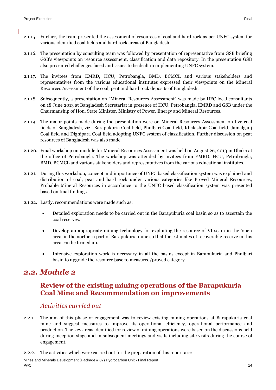- 2.1.15. Further, the team presented the assessment of resources of coal and hard rock as per UNFC system for various identified coal fields and hard rock areas of Bangladesh.
- 2.1.16. The presentation by consulting team was followed by presentation of representative from GSB briefing GSB's viewpoints on resource assessment, classification and data repository. In the presentation GSB also presented challenges faced and issues to be dealt in implementing UNFC system.
- 2.1.17. The invitees from EMRD, HCU, Petrobangla, BMD, BCMCL and various stakeholders and representatives from the various educational institutes expressed their viewpoints on the Mineral Resources Assessment of the coal, peat and hard rock deposits of Bangladesh.
- 2.1.18. Subsequently, a presentation on "Mineral Resources Assessment" was made by IIFC local consultants on 18 June 2013 at Bangladesh Secretariat in presence of HCU, Petrobangla, EMRD and GSB under the Chairmanship of Hon. State Minister, Ministry of Power, Energy and Mineral Resources.
- 2.1.19. The major points made during the presentation were on Mineral Resources Assessment on five coal fields of Bangladesh, viz., Barapukuria Coal field, Phulbari Coal field, Khalashpir Coal field, Jamalganj Coal field and Dighipara Coal field adopting UNFC system of classification. Further discussion on peat resources of Bangladesh was also made.
- 2.1.20. Final workshop on module for Mineral Resources Assessment was held on August 26, 2013 in Dhaka at the office of Petrobangla. The workshop was attended by invitees from EMRD, HCU, Petrobangla, BMD, BCMCL and various stakeholders and representatives from the various educational institutes.
- 2.1.21. During this workshop, concept and importance of UNFC based classification system was explained and distribution of coal, peat and hard rock under various categories like Proved Mineral Resources, Probable Mineral Resources in accordance to the UNFC based classification system was presented based on final findings.
- 2.1.22. Lastly, recommendations were made such as:
	- Detailed exploration needs to be carried out in the Barapukuria coal basin so as to ascertain the coal reserves.
	- Develop an appropriate mining technology for exploiting the resource of VI seam in the 'open area' in the northern part of Barapukuria mine so that the estimates of recoverable reserve in this area can be firmed up.
	- Intensive exploration work is necessary in all the basins except in Barapukuria and Phulbari basin to upgrade the resource base to measured/proved category.

## <span id="page-13-1"></span><span id="page-13-0"></span>*2.2. Module 2*

### **Review of the existing mining operations of the Barapukuria Coal Mine and Recommendation on improvements**

#### *Activities carried out*

2.2.1. The aim of this phase of engagement was to review existing mining operations at Barapukuria coal mine and suggest measures to improve its operational efficiency, operational performance and production. The key areas identified for review of mining operations were based on the discussions held during inception stage and in subsequent meetings and visits including site visits during the course of engagement.

2.2.2. The activities which were carried out for the preparation of this report are:

Mines and Minerals Development (Package # 07) Hydrocarbon Unit - Final Report PwC the contract of the contract of the contract of the contract of the contract of the contract of the contract of the contract of the contract of the contract of the contract of the contract of the contract of the contra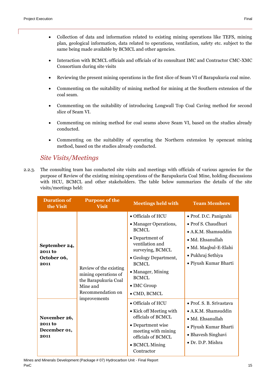- Collection of data and information related to existing mining operations like TEFS, mining plan, geological information, data related to operations, ventilation, safety etc. subject to the same being made available by BCMCL and other agencies.
- Interaction with BCMCL officials and officials of its consultant IMC and Contractor CMC-XMC Consortium during site visits
- Reviewing the present mining operations in the first slice of Seam VI of Barapukuria coal mine.
- Commenting on the suitability of mining method for mining at the Southern extension of the coal seam.
- Commenting on the suitability of introducing Longwall Top Coal Caving method for second slice of Seam VI.
- Commenting on mining method for coal seams above Seam VI, based on the studies already conducted.
- Commenting on the suitability of operating the Northern extension by opencast mining method, based on the studies already conducted.

#### *Site Visits/Meetings*

2.2.3. The consulting team has conducted site visits and meetings with officials of various agencies for the purpose of Review of the existing mining operations of the Barapukuria Coal Mine, holding discussions with HCU, BCMCL and other stakeholders. The table below summarizes the details of the site visits/meetings held:

| <b>Duration of</b><br>the Visit                 | <b>Purpose of the</b><br><b>Visit</b>                                              | <b>Meetings held with</b>                                                                                                                                                                                                           | <b>Team Members</b>                                                                                                                                                    |
|-------------------------------------------------|------------------------------------------------------------------------------------|-------------------------------------------------------------------------------------------------------------------------------------------------------------------------------------------------------------------------------------|------------------------------------------------------------------------------------------------------------------------------------------------------------------------|
| September 24,<br>2011 to<br>October 06,<br>2011 | Review of the existing<br>mining operations of<br>the Barapukuria Coal<br>Mine and | • Officials of HCU<br>• Manager Operations,<br><b>BCMCL</b><br>• Department of<br>ventilation and<br>surveying, BCMCL<br>• Geology Department,<br><b>BCMCL</b><br>• Manager, Mining<br>BCMCL<br>$\bullet$ IMC Group<br>• CMD, BCMCL | • Prof. D.C. Panigrahi<br>• Prof S. Chaudhuri<br>$\bullet$ A.K.M. Shamsuddin<br>• Md. Ehsanullah<br>· Md. Maqbul-E-Elahi<br>• Pukhraj Sethiya<br>• Piyush Kumar Bharti |
| November 26,<br>2011 to<br>December 01,<br>2011 | improvements                                                                       | • Officials of HCU<br>• Kick off Meeting with<br>officials of BCMCL<br>• Department wise<br>meeting with mining<br>officials of BCMCL<br>• BCMCL Mining<br>Contractor                                                               | • Prof. S. B. Srivastava<br>• A.K.M. Shamsuddin<br>· Md. Ehsanullah<br>• Piyush Kumar Bharti<br>• Bhavesh Singhavi<br>• Dr. D.P. Mishra                                |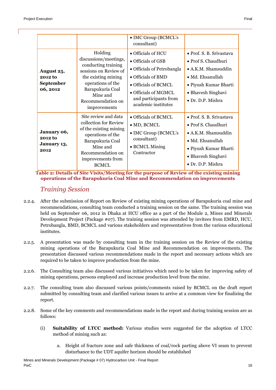| August 25,<br>2012 to<br>September<br>06, 2012 | Holding<br>discussions/meetings,<br>conducting training<br>sessions on Review of<br>the existing mining<br>operations of the<br>Barapukuria Coal<br>Mine and<br>Recommendation on<br>improvements | • IMC Group (BCMCL's<br>consultant)<br>$\bullet$ Officials of HCU<br>$\bullet$ Officials of GSB<br>• Officials of Petrobangla<br>• Officials of BMD<br>• Officials of BCMCL<br>• Officials of MGMCL<br>and participants from<br>academic institutes | • Prof. S. B. Srivastava<br>• Prof S. Chaudhuri<br>$\bullet$ A.K.M. Shamsuddin<br>• Md. Ehsanullah<br>• Piyush Kumar Bharti<br>• Bhavesh Singhavi<br>• Dr. D.P. Mishra |
|------------------------------------------------|---------------------------------------------------------------------------------------------------------------------------------------------------------------------------------------------------|-----------------------------------------------------------------------------------------------------------------------------------------------------------------------------------------------------------------------------------------------------|------------------------------------------------------------------------------------------------------------------------------------------------------------------------|
| January 06,<br>2012 to<br>January 13,<br>2012  | Site review and data<br>collection for Review<br>of the existing mining<br>operations of the<br>Barapukuria Coal<br>Mine and<br>Recommendation on<br>improvements from<br><b>BCMCL</b>            | • Officials of BCMCL<br>$\bullet$ MD, BCMCL<br>• IMC Group (BCMCL's<br>consultant)<br>• BCMCL Mining<br>Contractor                                                                                                                                  | • Prof. S. B. Srivastava<br>• Prof S. Chaudhuri<br>• A.K.M. Shamsuddin<br>$\bullet$ Md. Ehsanullah<br>• Piyush Kumar Bharti<br>• Bhavesh Singhavi<br>• Dr. D.P. Mishra |

**Table 2: Details of Site Visits/Meeting for the purpose of Review of the existing mining operations of the Barapukuria Coal Mine and Recommendation on improvements**

#### *Training Session*

- 2.2.4. After the submission of Report on Review of existing mining operations of Barapukuria coal mine and recommendations, consulting team conducted a training session on the same. The training session was held on September 06, 2012 in Dhaka at HCU office as a part of the Module 2, Mines and Minerals Development Project (Package #07). The training session was attended by invitees from EMRD, HCU, Petrobangla, BMD, BCMCL and various stakeholders and representatives from the various educational institutes.
- 2.2.5. A presentation was made by consulting team in the training session on the Review of the existing mining operations of the Barapukuria Coal Mine and Recommendation on improvements. The presentation discussed various recommendations made in the report and necessary actions which are required to be taken to improve production from the mine.
- 2.2.6. The Consulting team also discussed various initiatives which need to be taken for improving safety of mining operations, persons employed and increase production level from the mine.
- 2.2.7. The consulting team also discussed various points/comments raised by BCMCL on the draft report submitted by consulting team and clarified various issues to arrive at a common view for finalizing the report.
- 2.2.8. Some of the key comments and recommendations made in the report and during training session are as follows:
	- (i) **Suitability of LTCC method:** Various studies were suggested for the adoption of LTCC method of mining such as:
		- a. Height of fracture zone and safe thickness of coal/rock parting above VI seam to prevent disturbance to the UDT aquifer horizon should be established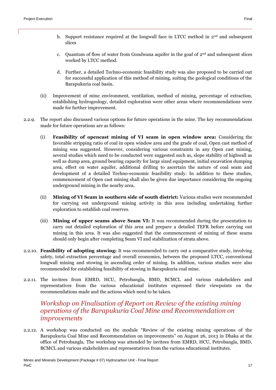- b. Support resistance required at the longwall face in LTCC method in 2<sup>nd</sup> and subsequent slices
- c. Quantum of flow of water from Gondwana aquifer in the goaf of  $2<sup>nd</sup>$  and subsequent slices worked by LTCC method.
- d. Further, a detailed Techno-economic feasibility study was also proposed to be carried out for successful application of this method of mining, suiting the geological conditions of the Barapukuria coal basin.
- (ii) Improvement of mine environment, ventilation, method of mining, percentage of extraction, establishing hydrogeology, detailed exploration were other areas where recommendations were made for further improvement.
- 2.2.9. The report also discussed various options for future operations in the mine. The key recommendations made for future operations are as follows:
	- (i) **Feasibility of opencast mining of VI seam in open window area:** Considering the favorable stripping ratio of coal in open window area and the grade of coal, Open cast method of mining was suggested. However, considering various constraints in any Open cast mining, several studies which need to be conducted were suggested such as, slope stability of highwall as well as dump area, ground bearing capacity for large sized equipment, initial excavation dumping area, effect on water aquifer, additional drilling to ascertain the nature of coal seam and development of a detailed Techno-economic feasibility study. In addition to these studies, commencement of Open cast mining shall also be given due importance considering the ongoing underground mining in the nearby area.
	- (ii) **Mining of VI Seam in southern side of south district:** Various studies were recommended for carrying out underground mining activity in this area including undertaking further exploration to establish coal reserves.
	- (iii) **Mining of upper seams above Seam VI:** It was recommended during the presentation to carry out detailed exploration of this area and prepare a detailed TEFR before carrying out mining in this area. It was also suggested that the commencement of mining of these seams should only begin after completing Seam VI and stabilization of strata above.
- 2.2.10. **Feasibility of adopting stowing:** It was recommended to carry out a comparative study, involving safety, total extraction percentage and overall economics, between the proposed LTCC, conventional longwall mining and stowing in ascending order of mining. In addition, various studies were also recommended for establishing feasibility of stowing in Barapukuria coal mine.
- 2.2.11. The invitees from EMRD, HCU, Petrobangla, BMD, BCMCL and various stakeholders and representatives from the various educational institutes expressed their viewpoints on the recommendations made and the actions which need to be taken.

#### *Workshop on Finalisation of Report on Review of the existing mining operations of the Barapukuria Coal Mine and Recommendation on improvements*

2.2.12. A workshop was conducted on the module "Review of the existing mining operations of the Barapukuria Coal Mine and Recommendation on improvements" on August 26, 2013 in Dhaka at the office of Petrobangla. The workshop was attended by invitees from EMRD, HCU, Petrobangla, BMD, BCMCL and various stakeholders and representatives from the various educational institutes.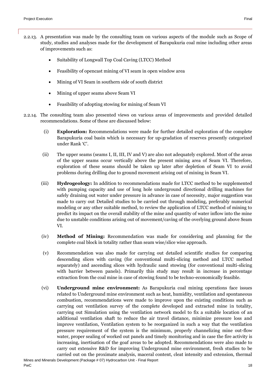- 2.2.13. A presentation was made by the consulting team on various aspects of the module such as Scope of study, studies and analyses made for the development of Barapukuria coal mine including other areas of improvements such as:
	- Suitability of Longwall Top Coal Caving (LTCC) Method
	- Feasibility of opencast mining of VI seam in open window area
	- Mining of VI Seam in southern side of south district
	- Mining of upper seams above Seam VI
	- Feasibility of adopting stowing for mining of Seam VI
- 2.2.14. The consulting team also presented views on various areas of improvements and provided detailed recommendations. Some of these are discussed below:
	- (i) **Exploration:** Recommendations were made for further detailed exploration of the complete Barapukuria coal basin which is necessary for up-gradation of reserves presently categorized under Rank 'C'.
	- (ii) The upper seams (seams I, II, III, IV and V) are also not adequately explored. Most of the areas of the upper seams occur vertically above the present mining area of Seam VI. Therefore, exploration of these seams should be taken up later after depletion of Seam VI to avoid problems during drilling due to ground movement arising out of mining in Seam VI.
	- (iii) **Hydrogeology:** In addition to recommendations made for LTCC method to be supplemented with pumping capacity and use of long hole underground directional drilling machines for safely draining out water under pressure in advance in case of necessity, major suggestion was made to carry out Detailed studies to be carried out through modeling, preferably numerical modeling or any other suitable method, to review the application of LTCC method of mining to predict its impact on the overall stability of the mine and quantity of water inflow into the mine due to unstable conditions arising out of movement/caving of the overlying ground above Seam VI.
	- (iv) **Method of Mining:** Recommendation was made for considering and planning for the complete coal block in totality rather than seam wise/slice wise approach.
	- (v) Recommendation was also made for carrying out detailed scientific studies for comparing descending slices with caving (for conventional multi-slicing method and LTCC method separately) and ascending slices with hydraulic sand stowing (for conventional multi-slicing with barrier between panels). Primarily this study may result in increase in percentage extraction from the coal mine in case of stowing found to be techno-economically feasible.
	- (vi) **Underground mine environment:** As Barapukuria coal mining operations face issues related to Underground mine environment such as heat, humidity, ventilation and spontaneous combustion, recommendations were made to improve upon the existing conditions such as carrying out ventilation survey of the complete developed and extracted mine in totality, carrying out Simulation using the ventilation network model to fix a suitable location of an additional ventilation shaft to reduce the air travel distance, minimize pressure loss and improve ventilation, Ventilation system to be reorganized in such a way that the ventilation pressure requirement of the system is the minimum, properly channelizing mine out-flow water, proper sealing of worked out panels and timely monitoring and in case the fire activity is increasing, inertisation of the goaf areas to be adopted. Recommendations were also made to carry out extensive R&D for improving Underground mine environment, fresh studies to be carried out on the proximate analysis, maceral content, cleat intensity and extension, thermal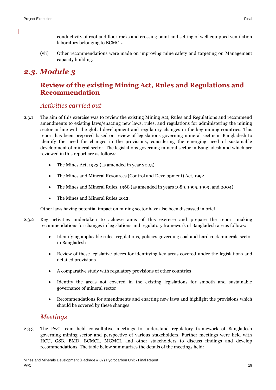(vii) Other recommendations were made on improving mine safety and targeting on Management capacity building.

# <span id="page-18-1"></span><span id="page-18-0"></span>*2.3. Module 3*

## **Review of the existing Mining Act, Rules and Regulations and Recommendation**

#### *Activities carried out*

- 2.3.1 The aim of this exercise was to review the existing Mining Act, Rules and Regulations and recommend amendments to existing laws/enacting new laws, rules, and regulations for administering the mining sector in line with the global development and regulatory changes in the key mining countries. This report has been prepared based on review of legislations governing mineral sector in Bangladesh to identify the need for changes in the provisions, considering the emerging need of sustainable development of mineral sector. The legislations governing mineral sector in Bangladesh and which are reviewed in this report are as follows:
	- The Mines Act, 1923 (as amended in year 2005)
	- The Mines and Mineral Resources (Control and Development) Act, 1992
	- The Mines and Mineral Rules, 1968 (as amended in years 1989, 1995, 1999, and 2004)
	- The Mines and Mineral Rules 2012.

Other laws having potential impact on mining sector have also been discussed in brief.

- 2.3.2 Key activities undertaken to achieve aims of this exercise and prepare the report making recommendations for changes in legislations and regulatory framework of Bangladesh are as follows:
	- Identifying applicable rules, regulations, policies governing coal and hard rock minerals sector in Bangladesh
	- Review of these legislative pieces for identifying key areas covered under the legislations and detailed provisions
	- A comparative study with regulatory provisions of other countries
	- Identify the areas not covered in the existing legislations for smooth and sustainable governance of mineral sector
	- Recommendations for amendments and enacting new laws and highlight the provisions which should be covered by these changes

#### *Meetings*

2.3.3 The PwC team held consultative meetings to understand regulatory framework of Bangladesh governing mining sector and perspective of various stakeholders. Further meetings were held with HCU, GSB, BMD, BCMCL, MGMCL and other stakeholders to discuss findings and develop recommendations. The table below summarizes the details of the meetings held: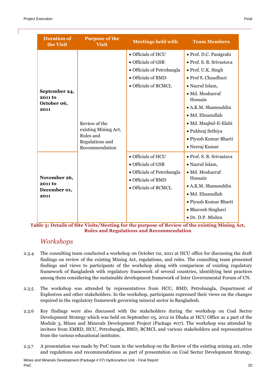| <b>Duration of</b><br>the Visit                 | <b>Purpose of the</b><br>Visit                                                          | <b>Meetings held with</b>  | <b>Team Members</b>        |
|-------------------------------------------------|-----------------------------------------------------------------------------------------|----------------------------|----------------------------|
|                                                 |                                                                                         | • Officials of HCU         | • Prof. D.C. Panigrahi     |
|                                                 |                                                                                         | · Officials of GSB         | • Prof. S. B. Srivastava   |
|                                                 |                                                                                         | • Officials of Petrobangla | • Prof. U.K. Singh         |
|                                                 |                                                                                         | • Officials of BMD         | • Prof S. Chaudhuri        |
|                                                 |                                                                                         | • Officials of BCMCL       | · Nazrul Islam,            |
| September 24,<br>2011 to                        |                                                                                         |                            | · Md. Mosharraf<br>Hossain |
| October 06,<br>2011                             | Review of the<br>existing Mining Act,<br>Rules and<br>Regulations and<br>Recommendation |                            | • A.K.M. Shamsuddin        |
|                                                 |                                                                                         |                            | · Md. Ehsanullah           |
|                                                 |                                                                                         |                            | · Md. Maqbul-E-Elahi       |
|                                                 |                                                                                         |                            | • Pukhraj Sethiya          |
|                                                 |                                                                                         |                            | · Piyush Kumar Bharti      |
|                                                 |                                                                                         |                            | • Neeraj Kumar             |
|                                                 |                                                                                         | · Officials of HCU         | · Prof. S. B. Srivastava   |
| November 26,<br>2011 to<br>December 01,<br>2011 |                                                                                         | • Officials of GSB         | · Nazrul Islam,            |
|                                                 |                                                                                         | • Officials of Petrobangla | · Md. Mosharraf            |
|                                                 |                                                                                         | • Officials of BMD         | Hossain                    |
|                                                 |                                                                                         | • Officials of BCMCL       | • A.K.M. Shamsuddin        |
|                                                 |                                                                                         |                            | · Md. Ehsanullah           |
|                                                 |                                                                                         |                            | • Piyush Kumar Bharti      |
|                                                 |                                                                                         |                            | • Bhavesh Singhavi         |
|                                                 |                                                                                         |                            | • Dr. D.P. Mishra          |

**Table 3: Details of Site Visits/Meeting for the purpose of Review of the existing Mining Act, Rules and Regulations and Recommendation**

### *Workshops*

- 2.3.4 The consulting team conducted a workshop on October 02, 2011 at HCU office for discussing the draft findings on review of the existing Mining Act, regulations, and rules. The consulting team presented findings and views to participants of the workshop along with comparison of existing regulatory framework of Bangladesh with regulatory framework of several countries, identifying best practices among them considering the sustainable development framework of Inter Governmental Forum of UN.
- 2.3.5 The workshop was attended by representatives from HCU, BMD, Petrobangla, Department of Explosives and other stakeholders. In the workshop, participants expressed their views on the changes required in the regulatory framework governing mineral sector in Bangladesh.
- 2.3.6 Key findings were also discussed with the stakeholders during the workshop on Coal Sector Development Strategy which was held on September 05, 2012 in Dhaka at HCU Office as a part of the Module 3, Mines and Minerals Development Project (Package #07). The workshop was attended by invitees from EMRD, HCU, Petrobangla, BMD, BCMCL and various stakeholders and representatives from the various educational institutes.
- 2.3.7 A presentation was made by PwC team in the workshop on the Review of the existing mining act, rules and regulations and recommendations as part of presentation on Coal Sector Development Strategy.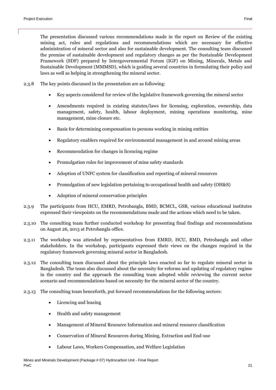The presentation discussed various recommendations made in the report on Review of the existing mining act, rules and regulations and recommendations which are necessary for effective administration of mineral sector and also for sustainable development. The consulting team discussed the premise of sustainable development and regulatory changes as per the Sustainable Development Framework (SDF) prepared by Intergovernmental Forum (IGF) on Mining, Minerals, Metals and Sustainable Development (MMMSD), which is guiding several countries in formulating their policy and laws as well as helping in strengthening the mineral sector.

- 2.3.8 The key points discussed in the presentation are as following:
	- Key aspects considered for review of the legislative framework governing the mineral sector
	- Amendments required in existing statutes/laws for licensing, exploration, ownership, data management, safety, health, labour deployment, mining operations monitoring, mine management, mine closure etc.
	- Basis for determining compensation to persons working in mining entities
	- Regulatory enablers required for environmental management in and around mining areas
	- Recommendation for changes in licencing regime
	- Promulgation rules for improvement of mine safety standards
	- Adoption of UNFC system for classification and reporting of mineral resources
	- Promulgation of new legislation pertaining to occupational health and safety (OH&S)
	- Adoption of mineral conservation principles
- 2.3.9 The participants from HCU, EMRD, Petrobangla, BMD, BCMCL, GSB, various educational institutes expressed their viewpoints on the recommendations made and the actions which need to be taken.
- 2.3.10 The consulting team further conducted workshop for presenting final findings and recommendations on August 26, 2013 at Petrobangla office.
- 2.3.11 The workshop was attended by representatives from EMRD, HCU, BMD, Petrobangla and other stakeholders. In the workshop, participants expressed their views on the changes required in the regulatory framework governing mineral sector in Bangladesh.
- 2.3.12 The consulting team discussed about the principle laws enacted so far to regulate mineral sector in Bangladesh. The team also discussed about the necessity for reforms and updating of regulatory regime in the country and the approach the consulting team adopted while reviewing the current sector scenario and recommendations based on necessity for the mineral sector of the country.
- 2.3.13 The consulting team henceforth, put forward recommendations for the following sectors:
	- Licencing and leasing
	- Health and safety management
	- Management of Mineral Resource Information and mineral resource classification
	- Conservation of Mineral Resources during Mining, Extraction and End-use
	- Labour Laws, Workers Compensation, and Welfare Legislation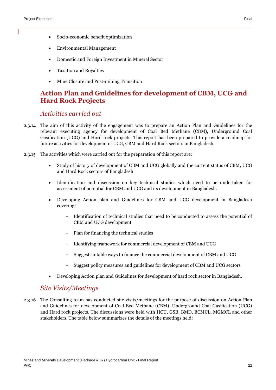- Socio-economic benefit optimization
- Environmental Management
- Domestic and Foreign Investment in Mineral Sector
- Taxation and Royalties
- Mine Closure and Post-mining Transition

#### <span id="page-21-0"></span>**Action Plan and Guidelines for development of CBM, UCG and Hard Rock Projects**

#### *Activities carried out*

- 2.3.14 The aim of this activity of the engagement was to prepare an Action Plan and Guidelines for the relevant executing agency for development of Coal Bed Methane (CBM), Underground Coal Gasification (UCG) and Hard rock projects. This report has been prepared to provide a roadmap for future activities for development of UCG, CBM and Hard Rock sectors in Bangladesh.
- 2.3.15 The activities which were carried out for the preparation of this report are:
	- Study of history of development of CBM and UCG globally and the current status of CBM, UCG and Hard Rock sectors of Bangladesh
	- Identification and discussion on key technical studies which need to be undertaken for assessment of potential for CBM and UCG and its development in Bangladesh.
	- Developing Action plan and Guidelines for CBM and UCG development in Bangladesh covering:
		- Identification of technical studies that need to be conducted to assess the potential of CBM and UCG development
		- Plan for financing the technical studies
		- Identifying framework for commercial development of CBM and UCG
		- Suggest suitable ways to finance the commercial development of CBM and UCG
		- Suggest policy measures and guidelines for development of CBM and UCG sectors
	- Developing Action plan and Guidelines for development of hard rock sector in Bangladesh.

#### *Site Visits/Meetings*

2.3.16 The Consulting team has conducted site visits/meetings for the purpose of discussion on Action Plan and Guidelines for development of Coal Bed Methane (CBM), Underground Coal Gasification (UCG) and Hard rock projects. The discussions were held with HCU, GSB, BMD, BCMCL, MGMCL and other stakeholders. The table below summarizes the details of the meetings held: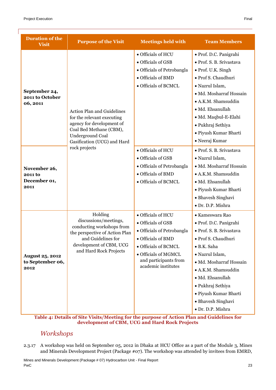| <b>Duration of the</b><br><b>Visit</b>             | <b>Purpose of the Visit</b>                                                                                                                                                       | <b>Meetings held with</b>                                                                                                                                                                    | <b>Team Members</b>                                                                                                                                                                                                                                                                           |
|----------------------------------------------------|-----------------------------------------------------------------------------------------------------------------------------------------------------------------------------------|----------------------------------------------------------------------------------------------------------------------------------------------------------------------------------------------|-----------------------------------------------------------------------------------------------------------------------------------------------------------------------------------------------------------------------------------------------------------------------------------------------|
| September 24,<br>2011 to October<br>06, 2011       | <b>Action Plan and Guidelines</b><br>for the relevant executing<br>agency for development of<br>Coal Bed Methane (CBM),<br><b>Underground Coal</b><br>Gasification (UCG) and Hard | · Officials of HCU<br>• Officials of GSB<br>• Officials of Petrobangla<br>• Officials of BMD<br>• Officials of BCMCL                                                                         | · Prof. D.C. Panigrahi<br>· Prof. S. B. Srivastava<br>· Prof. U.K. Singh<br>· Prof S. Chaudhuri<br>· Nazrul Islam,<br>· Md. Mosharraf Hossain<br>· A.K.M. Shamsuddin<br>· Md. Ehsanullah<br>· Md. Maqbul-E-Elahi<br>• Pukhraj Sethiya<br>· Piyush Kumar Bharti<br>• Neeraj Kumar              |
| November 26,<br>2011 to<br>December 01,<br>2011    | rock projects                                                                                                                                                                     | · Officials of HCU<br>• Officials of GSB<br>• Officials of Petrobangla<br>· Officials of BMD<br>• Officials of BCMCL                                                                         | · Prof. S. B. Srivastava<br>· Nazrul Islam,<br>· Md. Mosharraf Hossain<br>· A.K.M. Shamsuddin<br>· Md. Ehsanullah<br>· Piyush Kumar Bharti<br>• Bhavesh Singhavi<br>· Dr. D.P. Mishra                                                                                                         |
| <b>August 25, 2012</b><br>to September 06,<br>2012 | Holding<br>discussions/meetings,<br>conducting workshops from<br>the perspective of Action Plan<br>and Guidelines for<br>development of CBM, UCG<br>and Hard Rock Projects        | • Officials of HCU<br>• Officials of GSB<br>• Officials of Petrobangla<br>· Officials of BMD<br>• Officials of BCMCL<br>• Officials of MGMCL<br>and participants from<br>academic institutes | • Kameswara Rao<br>· Prof. D.C. Panigrahi<br>· Prof. S. B. Srivastava<br>· Prof S. Chaudhuri<br>· B.K. Saha<br>· Nazrul Islam,<br>· Md. Mosharraf Hossain<br>• A.K.M. Shamsuddin<br>· Md. Ehsanullah<br>• Pukhraj Sethiya<br>· Piyush Kumar Bharti<br>• Bhavesh Singhavi<br>· Dr. D.P. Mishra |

**Table 4: Details of Site Visits/Meeting for the purpose of Action Plan and Guidelines for development of CBM, UCG and Hard Rock Projects**

#### *Workshops*

2.3.17 A workshop was held on September 05, 2012 in Dhaka at HCU Office as a part of the Module 3, Mines and Minerals Development Project (Package #07). The workshop was attended by invitees from EMRD,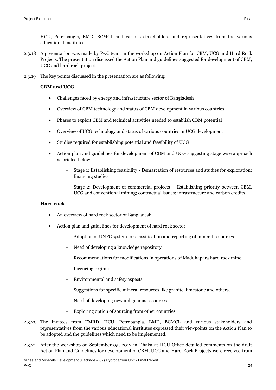- 2.3.18 A presentation was made by PwC team in the workshop on Action Plan for CBM, UCG and Hard Rock Projects. The presentation discussed the Action Plan and guidelines suggested for development of CBM, UCG and hard rock project.
- 2.3.19 The key points discussed in the presentation are as following:

#### **CBM and UCG**

- Challenges faced by energy and infrastructure sector of Bangladesh
- Overview of CBM technology and status of CBM development in various countries
- Phases to exploit CBM and technical activities needed to establish CBM potential
- Overview of UCG technology and status of various countries in UCG development
- Studies required for establishing potential and feasibility of UCG
- Action plan and guidelines for development of CBM and UCG suggesting stage wise approach as briefed below:
	- Stage 1: Establishing feasibility Demarcation of resources and studies for exploration; financing studies
	- Stage 2: Development of commercial projects Establishing priority between CBM, UCG and conventional mining; contractual issues; infrastructure and carbon credits.

#### **Hard rock**

- An overview of hard rock sector of Bangladesh
- Action plan and guidelines for development of hard rock sector
	- Adoption of UNFC system for classification and reporting of mineral resources
	- Need of developing a knowledge repository
	- Recommendations for modifications in operations of Maddhapara hard rock mine
	- Licencing regime
	- Environmental and safety aspects
	- Suggestions for specific mineral resources like granite, limestone and others.
	- Need of developing new indigenous resources
	- Exploring option of sourcing from other countries
- 2.3.20 The invitees from EMRD, HCU, Petrobangla, BMD, BCMCL and various stakeholders and representatives from the various educational institutes expressed their viewpoints on the Action Plan to be adopted and the guidelines which need to be implemented.
- 2.3.21 After the workshop on September 05, 2012 in Dhaka at HCU Office detailed comments on the draft Action Plan and Guidelines for development of CBM, UCG and Hard Rock Projects were received from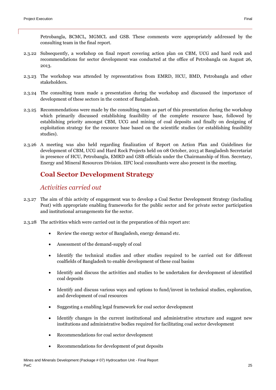Petrobangla, BCMCL, MGMCL and GSB. These comments were appropriately addressed by the consulting team in the final report.

- 2.3.22 Subsequently, a workshop on final report covering action plan on CBM, UCG and hard rock and recommendations for sector development was conducted at the office of Petrobangla on August 26, 2013.
- 2.3.23 The workshop was attended by representatives from EMRD, HCU, BMD, Petrobangla and other stakeholders.
- 2.3.24 The consulting team made a presentation during the workshop and discussed the importance of development of these sectors in the context of Bangladesh.
- 2.3.25 Recommendations were made by the consulting team as part of this presentation during the workshop which primarily discussed establishing feasibility of the complete resource base, followed by establishing priority amongst CBM, UCG and mining of coal deposits and finally on designing of exploitation strategy for the resource base based on the scientific studies (or establishing feasibility studies).
- 2.3.26 A meeting was also held regarding finalization of Report on Action Plan and Guidelines for development of CBM, UCG and Hard Rock Projects held on 08 October, 2013 at Bangladesh Secretariat in presence of HCU, Petrobangla, EMRD and GSB officials under the Chairmanship of Hon. Secretary, Energy and Mineral Resources Division. IIFC local consultants were also present in the meeting.

## <span id="page-24-0"></span>**Coal Sector Development Strategy**

#### *Activities carried out*

- 2.3.27 The aim of this activity of engagement was to develop a Coal Sector Development Strategy (including Peat) with appropriate enabling frameworks for the public sector and for private sector participation and institutional arrangements for the sector.
- 2.3.28 The activities which were carried out in the preparation of this report are:
	- Review the energy sector of Bangladesh, energy demand etc.
	- Assessment of the demand-supply of coal
	- Identify the technical studies and other studies required to be carried out for different coalfields of Bangladesh to enable development of these coal basins
	- Identify and discuss the activities and studies to be undertaken for development of identified coal deposits
	- Identify and discuss various ways and options to fund/invest in technical studies, exploration, and development of coal resources
	- Suggesting a enabling legal framework for coal sector development
	- Identify changes in the current institutional and administrative structure and suggest new institutions and administrative bodies required for facilitating coal sector development
	- Recommendations for coal sector development
	- Recommendations for development of peat deposits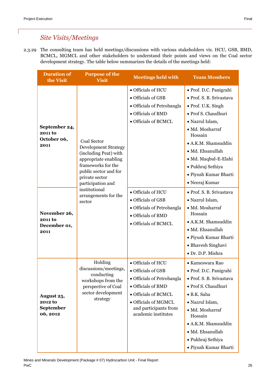## *Site Visits/Meetings*

2.3.29 The consulting team has held meetings/discussions with various stakeholders viz. HCU, GSB, BMD, BCMCL, MGMCL and other stakeholders to understand their points and views on the Coal sector development strategy. The table below summarizes the details of the meetings held:

| <b>Duration of</b><br>the Visit                        | <b>Purpose of the</b><br><b>Visit</b>                                                                                                                                      | <b>Meetings held with</b>                                                                                                                                                                    | <b>Team Members</b>                                                                                                                                                                                                                                                                 |
|--------------------------------------------------------|----------------------------------------------------------------------------------------------------------------------------------------------------------------------------|----------------------------------------------------------------------------------------------------------------------------------------------------------------------------------------------|-------------------------------------------------------------------------------------------------------------------------------------------------------------------------------------------------------------------------------------------------------------------------------------|
| September 24,<br>2011 to<br>October 06,<br>2011        | Coal Sector<br>Development Strategy<br>(including Peat) with<br>appropriate enabling<br>frameworks for the<br>public sector and for<br>private sector<br>participation and | • Officials of HCU<br>• Officials of GSB<br>• Officials of Petrobangla<br>• Officials of BMD<br>• Officials of BCMCL                                                                         | · Prof. D.C. Panigrahi<br>· Prof. S. B. Srivastava<br>• Prof. U.K. Singh<br>· Prof S. Chaudhuri<br>· Nazrul Islam,<br>· Md. Mosharraf<br>Hossain<br>• A.K.M. Shamsuddin<br>· Md. Ehsanullah<br>· Md. Maqbul-E-Elahi<br>· Pukhraj Sethiya<br>· Piyush Kumar Bharti<br>· Neeraj Kumar |
| November 26,<br><b>2011 to</b><br>December 01,<br>2011 | institutional<br>arrangements for the<br>sector                                                                                                                            | • Officials of HCU<br>• Officials of GSB<br>· Officials of Petrobangla<br>• Officials of BMD<br>• Officials of BCMCL                                                                         | · Prof. S. B. Srivastava<br>· Nazrul Islam,<br>· Md. Mosharraf<br>Hossain<br>• A.K.M. Shamsuddin<br>· Md. Ehsanullah<br>· Piyush Kumar Bharti<br>• Bhavesh Singhavi<br>· Dr. D.P. Mishra                                                                                            |
| August 25,<br>2012 to<br>September<br>06, 2012         | Holding<br>discussions/meetings,<br>conducting<br>workshops from the<br>perspective of Coal<br>sector development<br>strategy                                              | · Officials of HCU<br>• Officials of GSB<br>· Officials of Petrobangla<br>· Officials of BMD<br>• Officials of BCMCL<br>· Officials of MGMCL<br>and participants from<br>academic institutes | • Kameswara Rao<br>• Prof. D.C. Panigrahi<br>· Prof. S. B. Srivastava<br>· Prof S. Chaudhuri<br>· B.K. Saha<br>· Nazrul Islam,<br>· Md. Mosharraf<br>Hossain<br>• A.K.M. Shamsuddin<br>· Md. Ehsanullah<br>• Pukhraj Sethiya<br>· Piyush Kumar Bharti                               |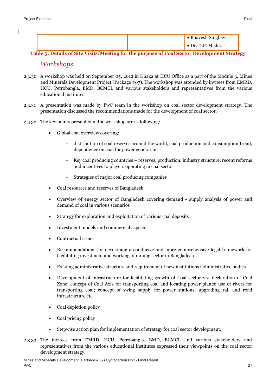|  | • Bhavesh Singhavi |
|--|--------------------|
|  | • Dr. D.P. Mishra  |

**Table 5: Details of Site Visits/Meeting for the purpose of Coal Sector Development Strategy**

#### *Workshops*

- 2.3.30 A workshop was held on September 05, 2012 in Dhaka at HCU Office as a part of the Module 3, Mines and Minerals Development Project (Package #07). The workshop was attended by invitees from EMRD, HCU, Petrobangla, BMD, BCMCL and various stakeholders and representatives from the various educational institutes.
- 2.3.31 A presentation was made by PwC team in the workshop on coal sector development strategy. The presentation discussed the recommendations made for the development of coal sector.
- 2.3.32 The key points presented in the workshop are as following:
	- Global coal overview covering:
		- distribution of coal reserves around the world, coal production and consumption trend, dependence on coal for power generation
		- Key coal producing countries reserves, production, industry structure, recent reforms and incentives to players operating in coal sector
		- Strategies of major coal producing companies
	- Coal resources and reserves of Bangladesh
	- Overview of energy sector of Bangladesh covering demand supply analysis of power and demand of coal in various scenarios
	- Strategy for exploration and exploitation of various coal deposits
	- Investment models and commercial aspects
	- Contractual issues
	- Recommendations for developing a conducive and more comprehensive legal framework for facilitating investment and working of mining sector in Bangladesh
	- Existing administrative structure and requirement of new institutions/administrative bodies
	- Development of infrastructure for facilitating growth of Coal sector viz. declaration of Coal Zone; concept of Coal Axis for transporting coal and locating power plants; use of rivers for transporting coal; concept of swing supply for power stations; upgrading rail and road infrastructure etc.
	- Coal depletion policy
	- Coal pricing policy
	- Stepwise action plan for implementation of strategy for coal sector development.
- 2.3.33 The invitees from EMRD, HCU, Petrobangla, BMD, BCMCL and various stakeholders and representatives from the various educational institutes expressed their viewpoints on the coal sector development strategy.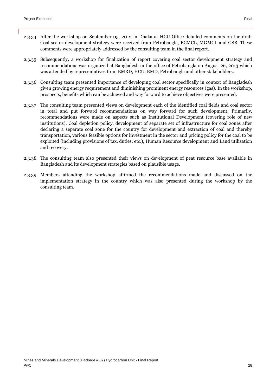- 2.3.35 Subsequently, a workshop for finalization of report covering coal sector development strategy and recommendations was organized at Bangladesh in the office of Petrobangla on August 26, 2013 which was attended by representatives from EMRD, HCU, BMD, Petrobangla and other stakeholders.
- 2.3.36 Consulting team presented importance of developing coal sector specifically in context of Bangladesh given growing energy requirement and diminishing prominent energy resources (gas). In the workshop, prospects, benefits which can be achieved and way forward to achieve objectives were presented.
- 2.3.37 The consulting team presented views on development each of the identified coal fields and coal sector in total and put forward recommendations on way forward for such development. Primarily, recommendations were made on aspects such as Institutional Development (covering role of new institutions), Coal depletion policy, development of separate set of infrastructure for coal zones after declaring a separate coal zone for the country for development and extraction of coal and thereby transportation, various feasible options for investment in the sector and pricing policy for the coal to be exploited (including provisions of tax, duties, etc.), Human Resource development and Land utilization and recovery.
- 2.3.38 The consulting team also presented their views on development of peat resource base available in Bangladesh and its development strategies based on plausible usage.
- 2.3.39 Members attending the workshop affirmed the recommendations made and discussed on the implementation strategy in the country which was also presented during the workshop by the consulting team.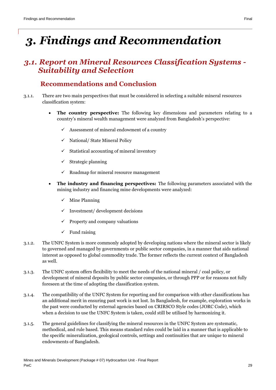# <span id="page-28-0"></span>*3. Findings and Recommendation*

## <span id="page-28-1"></span>*3.1. Report on Mineral Resources Classification Systems - Suitability and Selection*

#### **Recommendations and Conclusion**

- <span id="page-28-2"></span>3.1.1. There are two main perspectives that must be considered in selecting a suitable mineral resources classification system:
	- **The country perspective:** The following key dimensions and parameters relating to a country's mineral wealth management were analyzed from Bangladesh's perspective:
		- $\checkmark$  Assessment of mineral endowment of a country
		- $\checkmark$  National/ State Mineral Policy
		- $\checkmark$  Statistical accounting of mineral inventory
		- $\checkmark$  Strategic planning
		- $\checkmark$  Roadmap for mineral resource management
	- **The industry and financing perspectives:** The following parameters associated with the mining industry and financing mine developments were analyzed:
		- $\checkmark$  Mine Planning
		- Investment/ development decisions
		- $\checkmark$  Property and company valuations
		- $\checkmark$  Fund raising
- 3.1.2. The UNFC System is more commonly adopted by developing nations where the mineral sector is likely to governed and managed by governments or public sector companies, in a manner that aids national interest as opposed to global commodity trade. The former reflects the current context of Bangladesh as well.
- 3.1.3. The UNFC system offers flexibility to meet the needs of the national mineral / coal policy, or development of mineral deposits by public sector companies, or through PPP or for reasons not fully foreseen at the time of adopting the classification system.
- 3.1.4. The compatibility of the UNFC System for reporting and for comparison with other classifications has an additional merit in ensuring past work is not lost. In Bangladesh, for example, exploration works in the past were conducted by external agencies based on CRIRSCO Style codes (JORC Code), which when a decision to use the UNFC System is taken, could still be utilised by harmonizing it.
- 3.1.5. The general guidelines for classifying the mineral resources in the UNFC System are systematic, methodical, and rule based. This means standard rules could be laid in a manner that is applicable to the specific mineralization, geological controls, settings and continuities that are unique to mineral endowments of Bangladesh.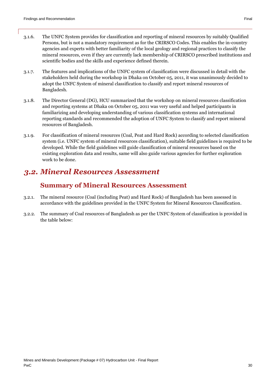- 3.1.6. The UNFC System provides for classification and reporting of mineral resources by suitably Qualified Persons, but is not a mandatory requirement as for the CRIRSCO Codes. This enables the in-country agencies and experts with better familiarity of the local geology and regional practices to classify the mineral resources, even if they are currently lack membership of CRIRSCO prescribed institutions and scientific bodies and the skills and experience defined therein.
- 3.1.7. The features and implications of the UNFC system of classification were discussed in detail with the stakeholders held during the workshop in Dhaka on October 05, 2011, it was unanimously decided to adopt the UNFC System of mineral classification to classify and report mineral resources of Bangladesh.
- 3.1.8. The Director General (DG), HCU summarized that the workshop on mineral resources classification and reporting systems at Dhaka on October 05, 2011 was very useful and helped participants in familiarizing and developing understanding of various classification systems and international reporting standards and recommended the adoption of UNFC System to classify and report mineral resources of Bangladesh.
- 3.1.9. For classification of mineral resources (Coal, Peat and Hard Rock) according to selected classification system (i.e. UNFC system of mineral resources classification), suitable field guidelines is required to be developed. While the field guidelines will guide classification of mineral resources based on the existing exploration data and results, same will also guide various agencies for further exploration work to be done.

# <span id="page-29-0"></span>*3.2. Mineral Resources Assessment*

## **Summary of Mineral Resources Assessment**

- <span id="page-29-1"></span>3.2.1. The mineral resource (Coal (including Peat) and Hard Rock) of Bangladesh has been assessed in accordance with the guidelines provided in the UNFC System for Mineral Resources Classification.
- 3.2.2. The summary of Coal resources of Bangladesh as per the UNFC System of classification is provided in the table below: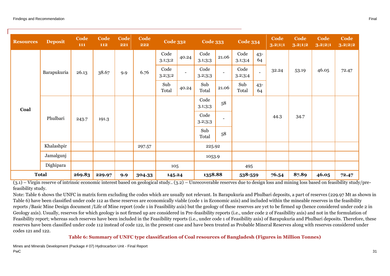| <b>Resources</b> | <b>Deposit</b>       | Code<br>111 | Code<br>112 | Code<br>221 | Code<br>222     | <b>Code 332</b>          |                 | <b>Code 333</b>          |                 | <b>Code 334</b> |              | Code<br>3.2;1;1 | Code<br>3.2;1;2 | Code<br>3.2;2;1 | Code<br>3.2;2;2 |
|------------------|----------------------|-------------|-------------|-------------|-----------------|--------------------------|-----------------|--------------------------|-----------------|-----------------|--------------|-----------------|-----------------|-----------------|-----------------|
| Coal             | Barapukuria<br>26.13 |             |             |             |                 | Code<br>3.1;3;2          | 40.24           | Code<br>3.1;3;3          | 21.06           | Code<br>3.1;3;4 | $43 -$<br>64 |                 |                 |                 |                 |
|                  |                      | 38.67       | 9.9         | 6.76        | Code<br>3.2;3;2 | $\overline{\phantom{a}}$ | Code<br>3.2;3;3 | $\overline{\phantom{a}}$ | Code<br>3.2;3;4 | $\blacksquare$  | 32.24        | 53.19           | 46.05           | 72.47           |                 |
|                  |                      |             |             |             | Sub<br>Total    | 40.24                    | Sub<br>Total    | 21.06                    | Sub<br>Total    | $43 -$<br>64    |              |                 |                 |                 |                 |
|                  | Phulbari<br>243.7    |             |             |             |                 |                          |                 | Code<br>3.1;3;3          | 58              |                 |              |                 |                 |                 |                 |
|                  |                      | 191.3       |             |             |                 |                          | Code<br>3.2;3;3 | ۰                        |                 |                 | 44.3         | 34.7            |                 |                 |                 |
|                  |                      |             |             |             |                 |                          | Sub<br>Total    | 58                       |                 |                 |              |                 |                 |                 |                 |
|                  | Khalashpir           |             |             |             | 297.57          |                          |                 | 225.92                   |                 |                 |              |                 |                 |                 |                 |
|                  | Jamalgunj            |             |             |             |                 |                          |                 | 1053.9                   |                 |                 |              |                 |                 |                 |                 |
|                  | Dighipara            |             |             |             |                 | 105                      |                 |                          |                 | 495             |              |                 |                 |                 |                 |
|                  | <b>Total</b>         | 269.83      | 229.97      | 9.9         | 304.33          | 145.24                   |                 | 1358.88                  |                 | 538-559         |              | 76.54           | 87.89           | 46.05           | 72.47           |

 $(3.1)$  – Virgin reserve of intrinsic economic interest based on geological study..  $(3.2)$  – Unrecoverable reserves due to design loss and mining loss based on feasibility study/prefeasibility study.

Note: Table 6 shows the UNFC in matrix form excluding the codes which are usually not relevant. In Barapukuria and Phulbari deposits, a part of reserves (229.97 Mt as shown in Table 6) have been classified under code 112 as these reserves are economically viable (code 1 in Economic axis) and included within the mineable reserves in the feasibility reports /Basic Mine Design document /Life of Mine report (code 1 in Feasibility axis) but the geology of these reserves are yet to be firmed up (hence considered under code 2 in Geology axis). Usually, reserves for which geology is not firmed up are considered in Pre-feasibility reports (i.e., under code 2 of Feasibility axis) and not in the formulation of Feasibility report; whereas such reserves have been included in the Feasibility reports (i.e., under code 1 of Feasibility axis) of Barapukuria and Phulbari deposits. Therefore, these reserves have been classified under code 112 instead of code 122, in the present case and have been treated as Probable Mineral Reserves along with reserves considered under codes 121 and 122.

#### **Table 6: Summary of UNFC type classification of Coal resources of Bangladesh (Figures in Million Tonnes)**

Mines and Minerals Development (Package # 07) Hydrocarbon Unit - Final Report PwC and the contract of the contract of the contract of the contract of the contract of the contract of the contract of the contract of the contract of the contract of the contract of the contract of the contract of the co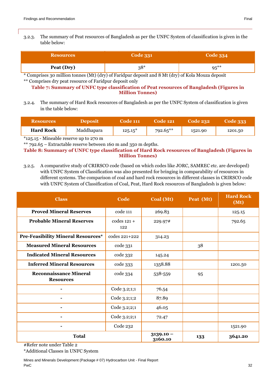#### 3.2.3. The summary of Peat resources of Bangladesh as per the UNFC System of classification is given in the table below:

| <b>Resources</b> | <b>Code 331</b> | <b>Code 334</b> |  |  |
|------------------|-----------------|-----------------|--|--|
| Peat (Dry)       | $38*$           | $95***$         |  |  |

\* Comprises 30 million tonnes (Mt) (dry) of Faridpur deposit and 8 Mt (dry) of Kola Mouza deposit \*\* Comprises dry peat resource of Faridpur deposit only

#### **Table 7: Summary of UNFC type classification of Peat resources of Bangladesh (Figures in Million Tonnes)**

3.2.4. The summary of Hard Rock resources of Bangladesh as per the UNFC System of classification is given in the table below:

| <b>Resources</b> | Deposit    | Code 111  | Code 121'   | <b>Code 232</b> | <b>Code 333</b> |
|------------------|------------|-----------|-------------|-----------------|-----------------|
| <b>Hard Rock</b> | Maddhapara | $125.15*$ | $792.65***$ | 1521.90         | 1201.50         |
|                  |            |           |             |                 |                 |

\*125.15 - Mineable reserve up to 270 m

\*\* 792.65 – Extractable reserve between 160 m and 350 m depths.

**Table 8: Summary of UNFC type classification of Hard Rock resources of Bangladesh (Figures in Million Tonnes)**

3.2.5. A comparative study of CRIRSCO code (based on which codes like JORC, SAMREC etc. are developed) with UNFC System of Classification was also presented for bringing in comparability of resources in different systems. The comparison of coal and hard rock resources in different classes in CRIRSCO code with UNFC System of Classification of Coal, Peat, Hard Rock resources of Bangladesh is given below:

| <b>Class</b>                                      | Code                   | Coal (Mt) | Peat (Mt) | <b>Hard Rock</b><br>(Mt) |
|---------------------------------------------------|------------------------|-----------|-----------|--------------------------|
| <b>Proved Mineral Reserves</b>                    | code 111               | 269.83    |           | 125.15                   |
| <b>Probable Mineral Reserves</b>                  | $codes 121 +$<br>122   | 229.97#   |           | 792.65                   |
| <b>Pre-Feasibility Mineral Resources*</b>         | codes 221+222          | 314.23    |           |                          |
| <b>Measured Mineral Resources</b>                 | code 331               |           | 38        |                          |
| <b>Indicated Mineral Resources</b>                | code 332               | 145.24    |           |                          |
| <b>Inferred Mineral Resources</b>                 | code 333               | 1358.88   |           | 1201.50                  |
| <b>Reconnaissance Mineral</b><br><b>Resources</b> | code 334               | 538-559   | 95        |                          |
|                                                   | Code 3.2;1;1           | 76.54     |           |                          |
| $\overline{a}$                                    | Code 3.2;1;2           | 87.89     |           |                          |
|                                                   | Code 3.2;2;1           | 46.05     |           |                          |
|                                                   | Code 3.2;2;1           | 72.47     |           |                          |
|                                                   | Code 232               |           |           | 1521.90                  |
| <b>Total</b>                                      | $3139.10 -$<br>3160.10 | 133       | 3641.20   |                          |

#Refer note under Table 2

\*Additional Classes in UNFC System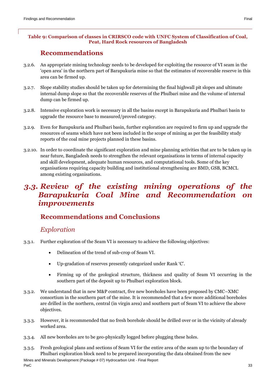## **Recommendations**

- <span id="page-32-0"></span>3.2.6. An appropriate mining technology needs to be developed for exploiting the resource of VI seam in the 'open area' in the northern part of Barapukuria mine so that the estimates of recoverable reserve in this area can be firmed up.
- 3.2.7. Slope stability studies should be taken up for determining the final highwall pit slopes and ultimate internal dump slope so that the recoverable reserves of the Phulbari mine and the volume of internal dump can be firmed up.
- 3.2.8. Intensive exploration work is necessary in all the basins except in Barapukuria and Phulbari basin to upgrade the resource base to measured/proved category.
- 3.2.9. Even for Barapukuria and Phulbari basin, further exploration are required to firm up and upgrade the resources of seams which have not been included in the scope of mining as per the feasibility study reports of the coal mine projects planned in these basins.
- 3.2.10. In order to coordinate the significant exploration and mine planning activities that are to be taken up in near future, Bangladesh needs to strengthen the relevant organisations in terms of internal capacity and skill development, adequate human resources, and computational tools. Some of the key organisations requiring capacity building and institutional strengthening are BMD, GSB, BCMCL among existing organisations.

## <span id="page-32-1"></span>*3.3. Review of the existing mining operations of the Barapukuria Coal Mine and Recommendation on improvements*

## <span id="page-32-2"></span>**Recommendations and Conclusions**

#### *Exploration*

- 3.3.1. Further exploration of the Seam VI is necessary to achieve the following objectives:
	- Delineation of the trend of sub-crop of Seam VI.
	- Up-gradation of reserves presently categorized under Rank 'C'.
	- Firming up of the geological structure, thickness and quality of Seam VI occurring in the southern part of the deposit up to Phulbari exploration block.
- 3.3.2. We understand that in new M&P contract, five new boreholes have been proposed by CMC–XMC consortium in the southern part of the mine. It is recommended that a few more additional boreholes are drilled in the northern, central (in virgin area) and southern part of Seam VI to achieve the above objectives.
- 3.3.3. However, it is recommended that no fresh borehole should be drilled over or in the vicinity of already worked area.
- 3.3.4. All new boreholes are to be geo-physically logged before plugging these holes.
- 3.3.5. Fresh geological plans and sections of Seam VI for the entire area of the seam up to the boundary of Phulbari exploration block need to be prepared incorporating the data obtained from the new

Mines and Minerals Development (Package # 07) Hydrocarbon Unit - Final Report PwC 33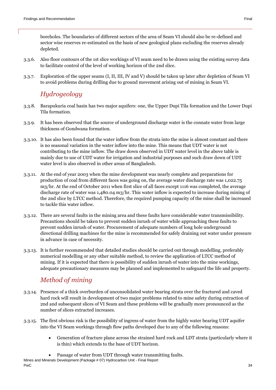boreholes. The boundaries of different sectors of the area of Seam VI should also be re-defined and sector wise reserves re-estimated on the basis of new geological plans excluding the reserves already depleted.

- 3.3.6. Also floor contours of the 1st slice workings of VI seam need to be drawn using the existing survey data to facilitate control of the level of working horizon of the 2nd slice.
- 3.3.7. Exploration of the upper seams (I, II, III, IV and V) should be taken up later after depletion of Seam VI to avoid problems during drilling due to ground movement arising out of mining in Seam VI.

## *Hydrogeology*

- 3.3.8. Barapukuria coal basin has two major aquifers: one, the Upper Dupi Tila formation and the Lower Dupi Tila formation.
- 3.3.9. It has been observed that the source of underground discharge water is the connate water from large thickness of Gondwana formation.
- 3.3.10. It has also been found that the water inflow from the strata into the mine is almost constant and there is no seasonal variation in the water inflow into the mine. This means that UDT water is not contributing to the mine inflow. The draw down observed in UDT water level in the above table is mainly due to use of UDT water for irrigation and industrial purposes and such draw down of UDT water level is also observed in other areas of Bangladesh.
- 3.3.11. At the end of year 2003 when the mine development was nearly complete and preparations for production of coal from different faces was going on, the average water discharge rate was 1,022.75 m3/hr. At the end of October 2011 when first slice of all faces except 1116 was completed, the average discharge rate of water was 1,480.04 m3/hr. This water inflow is expected to increase during mining of the 2nd slice by LTCC method. Therefore, the required pumping capacity of the mine shall be increased to tackle this water inflow.
- 3.3.12. There are several faults in the mining area and these faults have considerable water transmissibility. Precautions should be taken to prevent sudden inrush of water while approaching these faults to prevent sudden inrush of water. Procurement of adequate numbers of long hole underground directional drilling machines for the mine is recommended for safely draining out water under pressure in advance in case of necessity.
- 3.3.13. It is further recommended that detailed studies should be carried out through modelling, preferably numerical modelling or any other suitable method, to review the application of LTCC method of mining. If it is expected that there is possibility of sudden inrush of water into the mine workings, adequate precautionary measures may be planned and implemented to safeguard the life and property.

## *Method of mining*

- 3.3.14. Presence of a thick overburden of unconsolidated water bearing strata over the fractured and caved hard rock will result in development of two major problems related to mine safety during extraction of 2nd and subsequent slices of VI Seam and these problems will be gradually more pronounced as the number of slices extracted increases.
- 3.3.15. The first obvious risk is the possibility of ingress of water from the highly water bearing UDT aquifer into the VI Seam workings through flow paths developed due to any of the following reasons:
	- Generation of fracture plane across the strained hard rock and LDT strata (particularly where it is thin) which extends to the base of UDT horizon.
	- Passage of water from UDT through water transmitting faults.

Mines and Minerals Development (Package # 07) Hydrocarbon Unit - Final Report PwC 34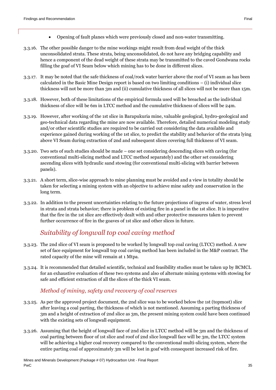- Opening of fault planes which were previously closed and non-water transmitting.
- 3.3.16. The other possible danger to the mine workings might result from dead weight of the thick unconsolidated strata. These strata, being unconsolidated, do not have any bridging capability and hence a component of the dead weight of these strata may be transmitted to the caved Gondwana rocks filling the goaf of VI Seam below which mining has to be done in different slices.
- 3.3.17. It may be noted that the safe thickness of coal/rock water barrier above the roof of VI seam as has been calculated in the Basic Mine Design report is based on two limiting conditions – (i) individual slice thickness will not be more than 3m and (ii) cumulative thickness of all slices will not be more than 15m.
- 3.3.18. However, both of these limitations of the empirical formula used will be breached as the individual thickness of slice will be 6m in LTCC method and the cumulative thickness of slices will be 24m.
- 3.3.19. However, after working of the 1st slice in Barapukuria mine, valuable geological, hydro-geological and geo-technical data regarding the mine are now available. Therefore, detailed numerical modeling study and/or other scientific studies are required to be carried out considering the data available and experience gained during working of the 1st slice, to predict the stability and behavior of the strata lying above VI Seam during extraction of 2nd and subsequent slices covering full thickness of VI seam.
- 3.3.20. Two sets of such studies should be made one set considering descending slices with caving (for conventional multi-slicing method and LTCC method separately) and the other set considering ascending slices with hydraulic sand stowing (for conventional multi-slicing with barrier between panels).
- 3.3.21. A short term, slice-wise approach to mine planning must be avoided and a view in totality should be taken for selecting a mining system with an objective to achieve mine safety and conservation in the long term.
- 3.3.22. In addition to the present uncertainties relating to the future projections of ingress of water, stress level in strata and strata behavior; there is problem of existing fire in a panel in the 1st slice. It is imperative that the fire in the 1st slice are effectively dealt with and other protective measures taken to prevent further occurrence of fire in the goaves of 1st slice and other slices in future.

### *Suitability of longwall top coal caving method*

- 3.3.23. The 2nd slice of VI seam is proposed to be worked by longwall top coal caving (LTCC) method. A new set of face equipment for longwall top coal caving method has been included in the M&P contract. The rated capacity of the mine will remain at 1 Mtpa.
- 3.3.24. It is recommended that detailed scientific, technical and feasibility studies must be taken up by BCMCL for an exhaustive evaluation of these two systems and also of alternate mining systems with stowing for safe and efficient extraction of all the slices of the thick VI seam.

#### *Method of mining, safety and recovery of coal reserves*

- 3.3.25. As per the approved project document, the 2nd slice was to be worked below the 1st (topmost) slice after leaving a coal parting, the thickness of which is not mentioned. Assuming a parting thickness of 3m and a height of extraction of 2nd slice as 3m, the present mining system could have been continued with the existing sets of longwall equipment.
- 3.3.26. Assuming that the height of longwall face of 2nd slice in LTCC method will be 3m and the thickness of coal parting between floor of 1st slice and roof of 2nd slice longwall face will be 3m, the LTCC system will be achieving a higher coal recovery compared to the conventional multi-slicing system, where the entire parting coal of approximately 3m will be lost in goaf with consequent increased risk of fire.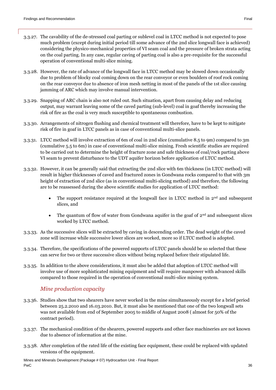- 3.3.27. The cavability of the de-stressed coal parting or sublevel coal in LTCC method is not expected to pose much problem (except during initial period till some advance of the 2nd slice longwall face is achieved) considering the physico-mechanical properties of VI seam coal and the pressure of broken strata acting on the coal parting. In any case, regular caving of parting coal is also a pre-requisite for the successful operation of conventional multi-slice mining.
- 3.3.28. However, the rate of advance of the longwall face in LTCC method may be slowed down occasionally due to problem of blocky coal coming down on the rear conveyor or even boulders of roof rock coming on the rear conveyor due to absence of iron mesh netting in most of the panels of the 1st slice causing jamming of ARC which may involve manual intervention.
- 3.3.29. Snapping of ARC chain is also not ruled out. Such situation, apart from causing delay and reducing output, may warrant leaving some of the caved parting (sub-level) coal in goaf thereby increasing the risk of fire as the coal is very much susceptible to spontaneous combustion.
- 3.3.30. Arrangements of nitrogen flushing and chemical treatment will therefore, have to be kept to mitigate risk of fire in goaf in LTCC panels as in case of conventional multi-slice panels.
- 3.3.31. LTCC method will involve extraction of 6m of coal in 2nd slice (cumulative 8.5 to 9m) compared to 3m (cumulative 5.5 to 6m) in case of conventional multi-slice mining. Fresh scientific studies are required to be carried out to determine the height of fracture zone and safe thickness of coal/rock parting above VI seam to prevent disturbance to the UDT aquifer horizon before application of LTCC method.
- 3.3.32. However, it can be generally said that extracting the 2nd slice with 6m thickness (in LTCC method) will result in higher thicknesses of caved and fractured zones in Gondwana rocks compared to that with 3m height of extraction of 2nd slice (as in conventional multi-slicing method) and therefore, the following are to be reassessed during the above scientific studies for application of LTCC method:
	- The support resistance required at the longwall face in LTCC method in  $2<sup>nd</sup>$  and subsequent slices, and
	- The quantum of flow of water from Gondwana aquifer in the goaf of  $2<sup>nd</sup>$  and subsequent slices worked by LTCC method.
- 3.3.33. As the successive slices will be extracted by caving in descending order. The dead weight of the caved zone will increase while successive lower slices are worked, more so if LTCC method is adopted.
- 3.3.34. Therefore, the specifications of the powered supports of LTCC panels should be so selected that these can serve for two or three successive slices without being replaced before their stipulated life.
- 3.3.35. In addition to the above considerations, it must also be added that adoption of LTCC method will involve use of more sophisticated mining equipment and will require manpower with advanced skills compared to those required in the operation of conventional multi-slice mining system.

#### *Mine production capacity*

- 3.3.36. Studies show that two shearers have never worked in the mine simultaneously except for a brief period between 25.2.2010 and 16.03.2010. But, it must also be mentioned that one of the two longwall sets was not available from end of September 2005 to middle of August 2008 ( almost for 50% of the contract period).
- 3.3.37. The mechanical condition of the shearers, powered supports and other face machineries are not known due to absence of information at the mine.
- 3.3.38. After completion of the rated life of the existing face equipment, these could be replaced with updated versions of the equipment.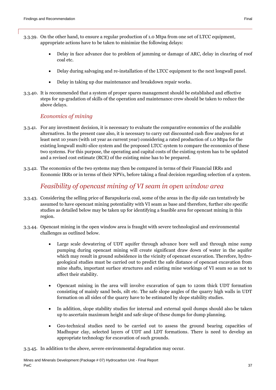- 3.3.39. On the other hand, to ensure a regular production of 1.0 Mtpa from one set of LTCC equipment, appropriate actions have to be taken to minimize the following delays:
	- Delay in face advance due to problem of jamming or damage of ARC, delay in clearing of roof coal etc.
	- Delay during salvaging and re-installation of the LTCC equipment to the next longwall panel.
	- Delay in taking up due maintenance and breakdown repair works.
- 3.3.40. It is recommended that a system of proper spares management should be established and effective steps for up-gradation of skills of the operation and maintenance crew should be taken to reduce the above delays.

#### *Economics of mining*

- 3.3.41. For any investment decision, it is necessary to evaluate the comparative economics of the available alternatives. In the present case also, it is necessary to carry out discounted cash flow analyses for at least next 10 years (with 1st year as current year) considering a rated production of 1.0 Mtpa for the existing longwall multi-slice system and the proposed LTCC system to compare the economics of these two systems. For this purpose, the operating and capital costs of the existing system has to be updated and a revised cost estimate (RCE) of the existing mine has to be prepared.
- 3.3.42. The economics of the two systems may then be compared in terms of their Financial IRRs and Economic IRRs or in terms of their NPVs, before taking a final decision regarding selection of a system.

#### *Feasibility of opencast mining of VI seam in open window area*

- 3.3.43. Considering the selling price of Barapukuria coal, some of the areas in the dip side can tentatively be assumed to have opencast mining potentiality with VI seam as base and therefore, further site specific studies as detailed below may be taken up for identifying a feasible area for opencast mining in this region.
- 3.3.44. Opencast mining in the open window area is fraught with severe technological and environmental challenges as outlined below.
	- Large scale dewatering of UDT aquifer through advance bore well and through mine sump pumping during opencast mining will create significant draw down of water in the aquifer which may result in ground subsidence in the vicinity of opencast excavation. Therefore, hydrogeological studies must be carried out to predict the safe distance of opencast excavation from mine shafts, important surface structures and existing mine workings of VI seam so as not to affect their stability.
	- Opencast mining in the area will involve excavation of 94m to 120m thick UDT formation consisting of mainly sand beds, silt etc. The safe slope angles of the quarry high walls in UDT formation on all sides of the quarry have to be estimated by slope stability studies.
	- In addition, slope stability studies for internal and external spoil dumps should also be taken up to ascertain maximum height and safe slope of these dumps for dump planning.
	- Geo-technical studies need to be carried out to assess the ground bearing capacities of Madhupur clay, selected layers of UDT and LDT formations. There is need to develop an appropriate technology for excavation of such grounds.

3.3.45. In addition to the above, severe environmental degradation may occur.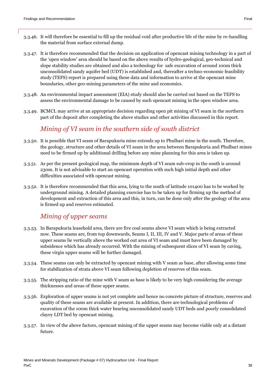- 3.3.46. It will therefore be essential to fill up the residual void after productive life of the mine by re-handling the material from surface external dump.
- 3.3.47. It is therefore recommended that the decision on application of opencast mining technology in a part of the 'open window' area should be based on the above results of hydro-geological, geo-technical and slope stability studies are obtained and also a technology for safe excavation of around 100m thick unconsolidated sandy aquifer bed (UDT) is established and, thereafter a techno-economic feasibility study (TEFS) report is prepared using these data and information to arrive at the opencast mine boundaries, other geo-mining parameters of the mine and economics.
- 3.3.48. An environmental impact assessment (EIA) study should also be carried out based on the TEFS to assess the environmental damage to be caused by such opencast mining in the open window area.
- 3.3.49. BCMCL may arrive at an appropriate decision regarding open pit mining of VI seam in the northern part of the deposit after completing the above studies and other activities discussed in this report.

#### *Mining of VI seam in the southern side of south district*

- 3.3.50. It is possible that VI seam of Barapukuria mine extends up to Phulbari mine in the south. Therefore, the geology, structure and other details of VI seam in the area between Barapukuria and Phulbari mines need to be firmed up by additional drilling before any mine planning for this area is taken up.
- 3.3.51. As per the present geological map, the minimum depth of VI seam sub-crop in the south is around 230m. It is not advisable to start an opencast operation with such high initial depth and other difficulties associated with opencast mining.
- 3.3.52. It is therefore recommended that this area, lying to the south of latitude 101400 has to be worked by underground mining. A detailed planning exercise has to be taken up for firming up the method of development and extraction of this area and this, in turn, can be done only after the geology of the area is firmed up and reserves estimated.

#### *Mining of upper seams*

- 3.3.53. In Barapukuria leasehold area, there are five coal seams above VI seam which is being extracted now. These seams are, from top downwards, Seams I, II, III, IV and V. Major parts of areas of these upper seams lie vertically above the worked out area of VI seam and must have been damaged by subsidence which has already occurred. With the mining of subsequent slices of VI seam by caving, these virgin upper seams will be further damaged.
- 3.3.54. These seams can only be extracted by opencast mining with V seam as base, after allowing some time for stabilization of strata above VI seam following depletion of reserves of this seam.
- 3.3.55. The stripping ratio of the mine with V seam as base is likely to be very high considering the average thicknesses and areas of these upper seams.
- 3.3.56. Exploration of upper seams is not yet complete and hence no concrete picture of structure, reserves and quality of these seams are available at present. In addition, there are technological problems of excavation of the 100m thick water bearing unconsolidated sandy UDT beds and poorly consolidated clayey LDT bed by opencast mining.
- 3.3.57. In view of the above factors, opencast mining of the upper seams may become viable only at a distant future.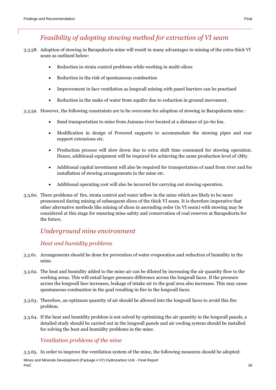## *Feasibility of adopting stowing method for extraction of VI seam*

- 3.3.58. Adoption of stowing in Barapukuria mine will result in many advantages in mining of the extra thick VI seam as outlined below:
	- Reduction in strata control problems while working in multi-slices
	- Reduction in the risk of spontaneous combustion
	- Improvement in face ventilation as longwall mining with panel barriers can be practised
	- Reduction in the make of water from aquifer due to reduction in ground movement.
- 3.3.59. However, the following constraints are to be overcome for adoption of stowing in Barapukuria mine :
	- Sand transportation to mine from Jamuna river located at a distance of 50-60 km.
	- Modification in design of Powered supports to accommodate the stowing pipes and rear support extensions etc.
	- Production process will slow down due to extra shift time consumed for stowing operation. Hence, additional equipment will be required for achieving the same production level of 1Mty.
	- Additional capital investment will also be required for transportation of sand from river and for installation of stowing arrangements in the mine etc.
	- Additional operating cost will also be incurred for carrying out stowing operation.
- 3.3.60. There problems of fire, strata control and water inflow in the mine which are likely to be more pronounced during mining of subsequent slices of the thick VI seam. It is therefore imperative that other alternative methods like mining of slices in ascending order (in VI seam) with stowing may be considered at this stage for ensuring mine safety and conservation of coal reserves at Barapukuria for the future.

### *Underground mine environment*

#### *Heat and humidity problems*

- 3.3.61. Arrangements should be done for prevention of water evaporation and reduction of humidity in the mine.
- 3.3.62. The heat and humidity added to the mine air can be diluted by increasing the air quantity flow to the working areas. This will entail larger pressure difference across the longwall faces. If the pressure across the longwall face increases, leakage of intake air to the goaf area also increases. This may cause spontaneous combustion in the goaf resulting in fire in the longwall faces.
- 3.3.63. Therefore, an optimum quantity of air should be allowed into the longwall faces to avoid this fire problem.
- 3.3.64. If the heat and humidity problem is not solved by optimizing the air quantity in the longwall panels, a detailed study should be carried out in the longwall panels and air cooling system should be installed for solving the heat and humidity problems in the mine.

#### *Ventilation problems of the mine*

3.3.65. In order to improve the ventilation system of the mine, the following measures should be adopted:

Mines and Minerals Development (Package # 07) Hydrocarbon Unit - Final Report PwC 39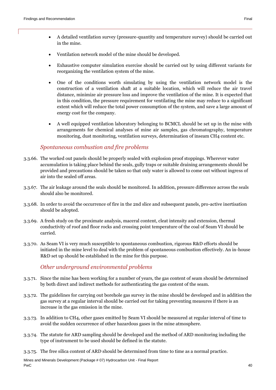- A detailed ventilation survey (pressure-quantity and temperature survey) should be carried out in the mine.
- Ventilation network model of the mine should be developed.
- Exhaustive computer simulation exercise should be carried out by using different variants for reorganizing the ventilation system of the mine.
- One of the conditions worth simulating by using the ventilation network model is the construction of a ventilation shaft at a suitable location, which will reduce the air travel distance, minimize air pressure loss and improve the ventilation of the mine. It is expected that in this condition, the pressure requirement for ventilating the mine may reduce to a significant extent which will reduce the total power consumption of the system, and save a large amount of energy cost for the company.
- A well equipped ventilation laboratory belonging to BCMCL should be set up in the mine with arrangements for chemical analyses of mine air samples, gas chromatography, temperature monitoring, dust monitoring, ventilation surveys, determination of inseam CH4 content etc.

#### *Spontaneous combustion and fire problems*

- 3.3.66. The worked out panels should be properly sealed with explosion proof stoppings. Wherever water accumulation is taking place behind the seals, gully traps or suitable draining arrangements should be provided and precautions should be taken so that only water is allowed to come out without ingress of air into the sealed off areas.
- 3.3.67. The air leakage around the seals should be monitored. In addition, pressure difference across the seals should also be monitored.
- 3.3.68. In order to avoid the occurrence of fire in the 2nd slice and subsequent panels, pro-active inertisation should be adopted.
- 3.3.69. A fresh study on the proximate analysis, maceral content, cleat intensity and extension, thermal conductivity of roof and floor rocks and crossing point temperature of the coal of Seam VI should be carried.
- 3.3.70. As Seam VI is very much susceptible to spontaneous combustion, rigorous R&D efforts should be initiated in the mine level to deal with the problem of spontaneous combustion effectively. An in-house R&D set up should be established in the mine for this purpose.

#### *Other underground environmental problems*

- 3.3.71. Since the mine has been working for a number of years, the gas content of seam should be determined by both direct and indirect methods for authenticating the gas content of the seam.
- 3.3.72. The guidelines for carrying out borehole gas survey in the mine should be developed and in addition the gas survey at a regular interval should be carried out for taking preventing measures if there is an increase in the gas emission in the mine.
- 3.3.73. In addition to CH4, other gases emitted by Seam VI should be measured at regular interval of time to avoid the sudden occurrence of other hazardous gases in the mine atmosphere.
- 3.3.74. The statute for ARD sampling should be developed and the method of ARD monitoring including the type of instrument to be used should be defined in the statute.
- 3.3.75. The free silica content of ARD should be determined from time to time as a normal practice.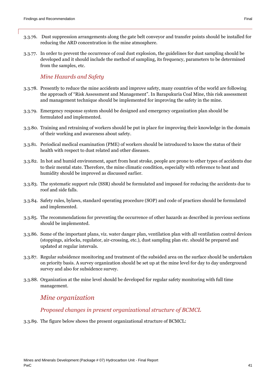- 3.3.76. Dust suppression arrangements along the gate belt conveyor and transfer points should be installed for reducing the ARD concentration in the mine atmosphere.
- 3.3.77. In order to prevent the occurrence of coal dust explosion, the guidelines for dust sampling should be developed and it should include the method of sampling, its frequency, parameters to be determined from the samples, etc.

#### *Mine Hazards and Safety*

- 3.3.78. Presently to reduce the mine accidents and improve safety, many countries of the world are following the approach of "Risk Assessment and Management". In Barapukuria Coal Mine, this risk assessment and management technique should be implemented for improving the safety in the mine.
- 3.3.79. Emergency response system should be designed and emergency organization plan should be formulated and implemented.
- 3.3.80. Training and retraining of workers should be put in place for improving their knowledge in the domain of their working and awareness about safety.
- 3.3.81. Periodical medical examination (PME) of workers should be introduced to know the status of their health with respect to dust related and other diseases.
- 3.3.82. In hot and humid environment, apart from heat stroke, people are prone to other types of accidents due to their mental state. Therefore, the mine climatic condition, especially with reference to heat and humidity should be improved as discussed earlier.
- 3.3.83. The systematic support rule (SSR) should be formulated and imposed for reducing the accidents due to roof and side falls.
- 3.3.84. Safety rules, bylaws, standard operating procedure (SOP) and code of practices should be formulated and implemented.
- 3.3.85. The recommendations for preventing the occurrence of other hazards as described in previous sections should be implemented.
- 3.3.86. Some of the important plans, viz. water danger plan, ventilation plan with all ventilation control devices (stoppings, airlocks, regulator, air-crossing, etc.), dust sampling plan etc. should be prepared and updated at regular intervals.
- 3.3.87. Regular subsidence monitoring and treatment of the subsided area on the surface should be undertaken on priority basis. A survey organization should be set up at the mine level for day to day underground survey and also for subsidence survey.
- 3.3.88. Organization at the mine level should be developed for regular safety monitoring with full time management.

#### *Mine organization*

#### *Proposed changes in present organizational structure of BCMCL*

3.3.89. The figure below shows the present organizational structure of BCMCL: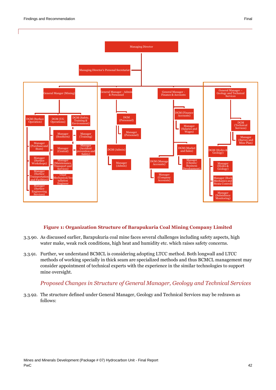



Managing Director

#### **Figure 1: Organization Structure of Barapukuria Coal Mining Company Limited**

- 3.3.90. As discussed earlier, Barapukuria coal mine faces several challenges including safety aspects, high water make, weak rock conditions, high heat and humidity etc. which raises safety concerns.
- 3.3.91. Further, we understand BCMCL is considering adopting LTCC method. Both longwall and LTCC methods of working specially in thick seam are specialized methods and thus BCMCL management may consider appointment of technical experts with the experience in the similar technologies to support mine oversight.

#### *Proposed Changes in Structure of General Manager, Geology and Technical Services*

3.3.92. The structure defined under General Manager, Geology and Technical Services may be redrawn as follows: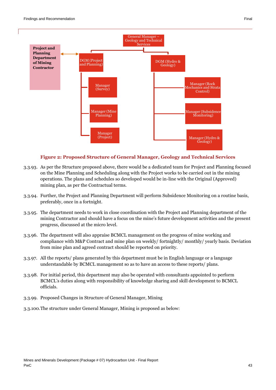

#### **Figure 2: Proposed Structure of General Manager, Geology and Technical Services**

- 3.3.93. As per the Structure proposed above, there would be a dedicated team for Project and Planning focused on the Mine Planning and Scheduling along with the Project works to be carried out in the mining operations. The plans and schedules so developed would be in-line with the Original (Approved) mining plan, as per the Contractual terms.
- 3.3.94. Further, the Project and Planning Department will perform Subsidence Monitoring on a routine basis, preferably, once in a fortnight.
- 3.3.95. The department needs to work in close coordination with the Project and Planning department of the mining Contractor and should have a focus on the mine's future development activities and the present progress, discussed at the micro level.
- 3.3.96. The department will also appraise BCMCL management on the progress of mine working and compliance with M&P Contract and mine plan on weekly/ fortnightly/ monthly/ yearly basis. Deviation from mine plan and agreed contract should be reported on priority.
- 3.3.97. All the reports/ plans generated by this department must be in English language or a language understandable by BCMCL management so as to have an access to these reports/ plans.
- 3.3.98. For initial period, this department may also be operated with consultants appointed to perform BCMCL's duties along with responsibility of knowledge sharing and skill development to BCMCL officials.
- 3.3.99. Proposed Changes in Structure of General Manager, Mining
- 3.3.100.The structure under General Manager, Mining is proposed as below: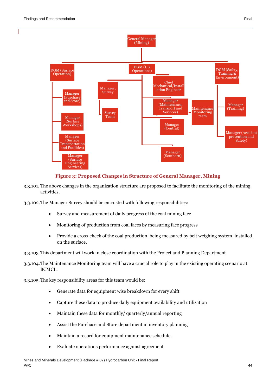

#### **Figure 3: Proposed Changes in Structure of General Manager, Mining**

- 3.3.101. The above changes in the organization structure are proposed to facilitate the monitoring of the mining activities.
- 3.3.102.The Manager Survey should be entrusted with following responsibilities:
	- Survey and measurement of daily progress of the coal mining face
	- Monitoring of production from coal faces by measuring face progress
	- Provide a cross-check of the coal production, being measured by belt weighing system, installed on the surface.
- 3.3.103.This department will work in close coordination with the Project and Planning Department
- 3.3.104.The Maintenance Monitoring team will have a crucial role to play in the existing operating scenario at BCMCL.
- 3.3.105.The key responsibility areas for this team would be:
	- Generate data for equipment wise breakdown for every shift
	- Capture these data to produce daily equipment availability and utilization
	- Maintain these data for monthly/ quarterly/annual reporting
	- Assist the Purchase and Store department in inventory planning
	- Maintain a record for equipment maintenance schedule.
	- Evaluate operations performance against agreement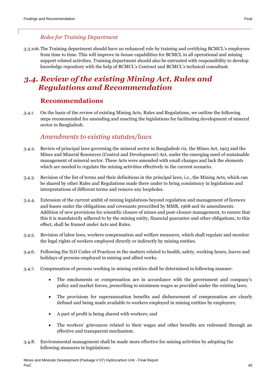#### *Roles for Training Department*

3.3.106.The Training department should have an enhanced role by training and certifying BCMCL's employees from time to time. This will improve in-house capabilities for BCMCL in all operational and mining support related activities. Training department should also be entrusted with responsibility to develop knowledge repository with the help of BCMCL's Contract and BCMCL's technical consultant.

## <span id="page-44-0"></span>*3.4. Review of the existing Mining Act, Rules and Regulations and Recommendation*

#### **Recommendations**

<span id="page-44-1"></span>*3.4.1.* On the basis of the review of existing Mining Acts, Rules and Regulations, we outline the following steps recommended for amending and enacting the legislations for facilitating development of mineral sector in Bangladesh.

## *Amendments to existing statutes/laws*

- 3.4.2. Review of principal laws governing the mineral sector in Bangladesh viz. the Mines Act, 1923 and the Mines and Mineral Resources (Control and Development) Act, under the emerging need of sustainable management of mineral sector. These Acts were amended with small changes and lack the elements which are needed to regulate the mining activities effectively in the current scenario.
- 3.4.3. Revision of the list of terms and their definitions in the principal laws, i.e., the Mining Acts, which can be shared by other Rules and Regulations made there under to bring consistency in legislations and interpretations of different terms and remove any loopholes.
- 3.4.4. Extension of the current ambit of mining legislations beyond regulation and management of licences and leases under the obligations and covenants prescribed by MMR, 1968 and its amendments. Addition of new provisions for scientific closure of mines and post-closure management, to ensure that this it is mandatorily adhered to by the mining entity, financial guarantee and other obligations, to this effect, shall be framed under Acts and Rules.
- 3.4.5. Revision of labor laws, workers compensation and welfare measures, which shall regulate and monitor the legal rights of workers employed directly or indirectly by mining entities.
- 3.4.6. Following the ILO Codes of Practices in the matters related to health, safety, working hours, leaves and holidays of persons employed in mining and allied works.
- 3.4.7. Compensation of persons working in mining entities shall be determined in following manner:
	- The emoluments or compensation are in accordance with the government and company's policy and market forces, prescribing to minimum wages as provided under the existing laws;
	- The provisions for superannuation benefits and disbursement of compensation are clearly defined and being made available to workers employed in mining entities by employers;
	- A part of profit is being shared with workers; and
	- The workers' grievances related to their wages and other benefits are redressed through an effective and transparent mechanism.
- 3.4.8. Environmental management shall be made more effective for mining activities by adopting the following measures in legislations: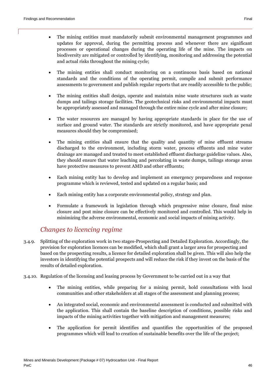- The mining entities must mandatorily submit environmental management programmes and updates for approval, during the permitting process and whenever there are significant processes or operational changes during the operating life of the mine. The impacts on biodiversity are mitigated or controlled by identifying, monitoring and addressing the potential and actual risks throughout the mining cycle;
- The mining entities shall conduct monitoring on a continuous basis based on national standards and the conditions of the operating permit, compile and submit performance assessments to government and publish regular reports that are readily accessible to the public;
- The mining entities shall design, operate and maintain mine waste structures such as waste dumps and tailings storage facilities. The geotechnical risks and environmental impacts must be appropriately assessed and managed through the entire mine cycle and after mine closure;
- The water resources are managed by having appropriate standards in place for the use of surface and ground water. The standards are strictly monitored, and have appropriate penal measures should they be compromised;
- The mining entities shall ensure that the quality and quantity of mine effluent streams discharged to the environment, including storm water, process effluents and mine water drainage are managed and treated to meet established effluent discharge guideline values. Also, they should ensure that water leaching and percolating in waste dumps, tailings storage areas have protective measures to prevent AMD and other effluents;
- Each mining entity has to develop and implement an emergency preparedness and response programme which is reviewed, tested and updated on a regular basis; and
- Each mining entity has a corporate environmental policy, strategy and plan.
- Formulate a framework in legislation through which progressive mine closure, final mine closure and post mine closure can be effectively monitored and controlled. This would help in minimizing the adverse environmental, economic and social impacts of mining activity.

### *Changes to licencing regime*

- 3.4.9. Splitting of the exploration work in two stages-Prospecting and Detailed Exploration. Accordingly, the provision for exploration licences can be modified, which shall grant a larger area for prospecting and based on the prospecting results, a licence for detailed exploration shall be given. This will also help the investors in identifying the potential prospects and will reduce the risk if they invest on the basis of the results of detailed exploration.
- 3.4.10. Regulation of the licensing and leasing process by Government to be carried out in a way that
	- The mining entities, while preparing for a mining permit, hold consultations with local communities and other stakeholders at all stages of the assessment and planning process;
	- An integrated social, economic and environmental assessment is conducted and submitted with the application. This shall contain the baseline description of conditions, possible risks and impacts of the mining activities together with mitigation and management measures;
	- The application for permit identifies and quantifies the opportunities of the proposed programmes which will lead to creation of sustainable benefits over the life of the project;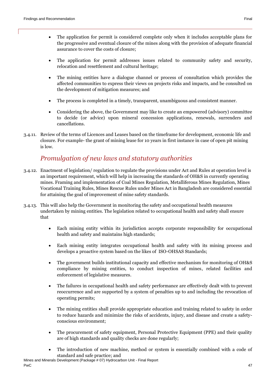- The application for permit is considered complete only when it includes acceptable plans for the progressive and eventual closure of the mines along with the provision of adequate financial assurance to cover the costs of closure;
- The application for permit addresses issues related to community safety and security, relocation and resettlement and cultural heritage;
- The mining entities have a dialogue channel or process of consultation which provides the affected communities to express their views on projects risks and impacts, and be consulted on the development of mitigation measures; and
- The process is completed in a timely, transparent, unambiguous and consistent manner.
- Considering the above, the Government may like to create an empowered (advisory) committee to decide (or advice) upon mineral concession applications, renewals, surrenders and cancellations.
- 3.4.11. Review of the terms of Licences and Leases based on the timeframe for development, economic life and closure. For example- the grant of mining lease for 10 years in first instance in case of open pit mining is low.

#### *Promulgation of new laws and statutory authorities*

- 3.4.12. Enactment of legislation/ regulation to regulate the provisions under Act and Rules at operation level is an important requirement, which will help in increasing the standards of OH&S in currently operating mines. Framing and implementation of Coal Mines Regulation, Metalliferous Mines Regulation, Mines Vocational Training Rules, Mines Rescue Rules under Mines Act in Bangladesh are considered essential for attaining the goal of improvement of mine safety standards.
- 3.4.13. This will also help the Government in monitoring the safety and occupational health measures undertaken by mining entities. The legislation related to occupational health and safety shall ensure that
	- Each mining entity within its jurisdiction accepts corporate responsibility for occupational health and safety and maintains high standards;
	- Each mining entity integrates occupational health and safety with its mining process and develops a proactive system based on the likes of ISO-OHSAS Standards;
	- The government builds institutional capacity and effective mechanism for monitoring of OH&S compliance by mining entities, to conduct inspection of mines, related facilities and enforcement of legislative measures.
	- The failures in occupational health and safety performance are effectively dealt with to prevent reoccurrence and are supported by a system of penalties up to and including the revocation of operating permits;
	- The mining entities shall provide appropriate education and training related to safety in order to reduce hazards and minimize the risks of accidents, injury, and disease and create a safetyconscious environment;
	- The procurement of safety equipment, Personal Protective Equipment (PPE) and their quality are of high standards and quality checks are done regularly;
	- The introduction of new machine, method or system is essentially combined with a code of standard and safe practice; and

Mines and Minerals Development (Package # 07) Hydrocarbon Unit - Final Report PwC and the contract of the contract of the contract of the contract of the contract of the contract of the contract of the contract of the contract of the contract of the contract of the contract of the contract of the co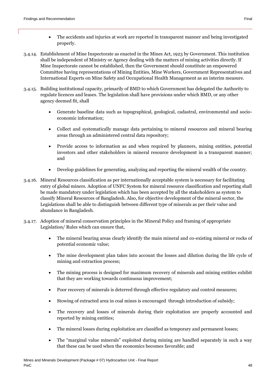- 3.4.14. Establishment of Mine Inspectorate as enacted in the Mines Act, 1923 by Government. This institution shall be independent of Ministry or Agency dealing with the matters of mining activities directly. If Mine Inspectorate cannot be established, then the Government should constitute an empowered Committee having representations of Mining Entities, Mine Workers, Government Representatives and International Experts on Mine Safety and Occupational Health Management as an interim measure.
- 3.4.15. Building institutional capacity, primarily of BMD to which Government has delegated the Authority to regulate licences and leases. The legislation shall have provisions under which BMD, or any other agency deemed fit, shall
	- Generate baseline data such as topographical, geological, cadastral, environmental and socioeconomic information;
	- Collect and systematically manage data pertaining to mineral resources and mineral bearing areas through an administered central data repository;
	- Provide access to information as and when required by planners, mining entities, potential investors and other stakeholders in mineral resource development in a transparent manner; and
	- Develop guidelines for generating, analyzing and reporting the mineral wealth of the country.
- 3.4.16. Mineral Resources classification as per internationally acceptable system is necessary for facilitating entry of global miners. Adoption of UNFC System for mineral resource classification and reporting shall be made mandatory under legislation which has been accepted by all the stakeholders as system to classify Mineral Resources of Bangladesh. Also, for objective development of the mineral sector, the Legislations shall be able to distinguish between different type of minerals as per their value and abundance in Bangladesh.
- 3.4.17. Adoption of mineral conservation principles in the Mineral Policy and framing of appropriate Legislation/ Rules which can ensure that,
	- The mineral bearing areas clearly identify the main mineral and co-existing mineral or rocks of potential economic value;
	- The mine development plan takes into account the losses and dilution during the life cycle of mining and extraction process;
	- The mining process is designed for maximum recovery of minerals and mining entities exhibit that they are working towards continuous improvement;
	- Poor recovery of minerals is deterred through effective regulatory and control measures;
	- Stowing of extracted area in coal mines is encouraged through introduction of subsidy;
	- The recovery and losses of minerals during their exploitation are properly accounted and reported by mining entities;
	- The mineral losses during exploitation are classified as temporary and permanent losses;
	- The "marginal value minerals" exploited during mining are handled separately in such a way that these can be used when the economics becomes favorable; and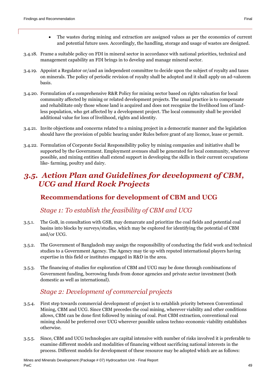- The wastes during mining and extraction are assigned values as per the economics of current and potential future uses. Accordingly, the handling, storage and usage of wastes are designed.
- 3.4.18. Frame a suitable policy on FDI in mineral sector in accordance with national priorities, technical and management capability an FDI brings in to develop and manage mineral sector.
- 3.4.19. Appoint a Regulator or/and an independent committee to decide upon the subject of royalty and taxes on minerals. The policy of periodic revision of royalty shall be adopted and it shall apply on ad-valorem basis.
- 3.4.20. Formulation of a comprehensive R&R Policy for mining sector based on rights valuation for local community affected by mining or related development projects. The usual practice is to compensate and rehabilitate only those whose land is acquired and does not recognize the livelihood loss of landless population, who get affected by a development project. The local community shall be provided additional value for loss of livelihood, rights and identity.
- 3.4.21. Invite objections and concerns related to a mining project in a democratic manner and the legislation should have the provision of public hearing under Rules before grant of any licence, lease or permit.
- 3.4.22. Formulation of Corporate Social Responsibility policy by mining companies and initiative shall be supported by the Government. Employment avenues shall be generated for local community, wherever possible, and mining entities shall extend support in developing the skills in their current occupations like- farming, poultry and dairy.

## <span id="page-48-0"></span>*3.5. Action Plan and Guidelines for development of CBM, UCG and Hard Rock Projects*

## <span id="page-48-1"></span>**Recommendations for development of CBM and UCG**

### *Stage 1: To establish the feasibility of CBM and UCG*

- 3.5.1. The GoB, in consultation with GSB, may demarcate and prioritize the coal fields and potential coal basins into blocks by surveys/studies, which may be explored for identifying the potential of CBM and/or UCG.
- 3.5.2. The Government of Bangladesh may assign the responsibility of conducting the field work and technical studies to a Government Agency. The Agency may tie up with reputed international players having expertise in this field or institutes engaged in R&D in the area.
- 3.5.3. The financing of studies for exploration of CBM and UCG may be done through combinations of Government funding, borrowing funds from donor agencies and private sector investment (both domestic as well as international).

## *Stage 2: Development of commercial projects*

- 3.5.4. First step towards commercial development of project is to establish priority between Conventional Mining, CBM and UCG. Since CBM precedes the coal mining, wherever viability and other conditions allows, CBM can be done first followed by mining of coal. Post CBM extraction, conventional coal mining should be preferred over UCG wherever possible unless techno-economic viability establishes otherwise.
- 3.5.5. Since, CBM and UCG technologies are capital intensive with number of risks involved it is preferable to examine different models and modalities of financing without sacrificing national interests in the process. Different models for development of these resource may be adopted which are as follows: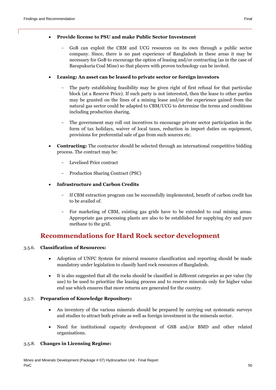- GoB can exploit the CBM and UCG resources on its own through a public sector company. Since, there is no past experience of Bangladesh in these areas it may be necessary for GoB to encourage the option of leasing and/or contracting (as in the case of Barapukuria Coal Mine) so that players with proven technology can be invited.

#### **Leasing: An asset can be leased to private sector or foreign investors**

- The party establishing feasibility may be given right of first refusal for that particular block (at a Reserve Price). If such party is not interested, then the lease to other parties may be granted on the lines of a mining lease and/or the experience gained from the natural gas sector could be adapted to CBM/UCG to determine the terms and conditions including production sharing.
- The government may roll out incentives to encourage private sector participation in the form of tax holidays, waiver of local taxes, reduction in import duties on equipment, provisions for preferential sale of gas from such sources etc.
- **Contracting:** The contractor should be selected through an international competitive bidding process. The contract may be:
	- Levelised Price contract
	- Production Sharing Contract (PSC)

#### **Infrastructure and Carbon Credits**

- If CBM extraction program can be successfully implemented, benefit of carbon credit has to be availed of.
- For marketing of CBM, existing gas grids have to be extended to coal mining areas. Appropriate gas processing plants are also to be established for supplying dry and pure methane to the grid.

### **Recommendations for Hard Rock sector development**

#### <span id="page-49-0"></span>3.5.6. **Classification of Resources:**

- Adoption of UNFC System for mineral resource classification and reporting should be made mandatory under legislation to classify hard rock resources of Bangladesh.
- It is also suggested that all the rocks should be classified in different categories as per value (by use) to be used to prioritize the leasing process and to reserve minerals only for higher value end use which ensures that more returns are generated for the country.

#### 3.5.7. **Preparation of Knowledge Repository:**

- An inventory of the various minerals should be prepared by carrying out systematic surveys and studies to attract both private as well as foreign investment in the minerals sector.
- Need for institutional capacity development of GSB and/or BMD and other related organisations.

#### 3.5.8. **Changes in Licensing Regime:**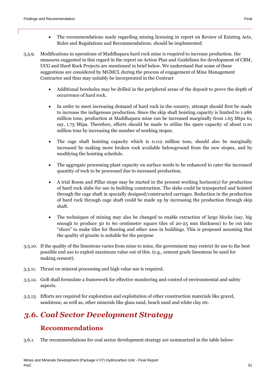- The recommendations made regarding mining licensing in report on Review of Existing Acts, Rules and Regulations and Recommendations, should be implemented.
- 3.5.9. Modifications in operations of Maddhapara hard rock mine is required to increase production. the measures suggested in this regard in the report on Action Plan and Guidelines for development of CBM, UCG and Hard Rock Projects are mentioned in brief below. We understand that some of these suggestions are considered by MGMCL during the process of engagement of Mine Management Contractor and thus may suitably be incorporated in the Contract
	- Additional boreholes may be drilled in the peripheral areas of the deposit to prove the depth of occurrence of hard rock.
	- In order to meet increasing demand of hard rock in the country, attempt should first be made to increase the indigenous production. Since the skip shaft hoisting capacity is limited to 1.986 million tons, production at Maddhapara mine can be increased marginally from 1.65 Mtpa to, say, 1.75 Mtpa. Therefore, efforts should be made to utilize the spare capacity of about 0.10 million tons by increasing the number of working stopes.
	- The cage shaft hoisting capacity which is 0.112 million tons, should also be marginally increased by making more broken rock available belowground from the new stopes, and by modifying the hoisting schedule.
	- The aggregate processing plant capacity on surface needs to be enhanced to cater the increased quantity of rock to be processed due to increased production.
	- A trial Room and Pillar stope may be started in the present working horizon(s) for production of hard rock slabs for use in building construction. The slabs could be transported and hoisted through the cage shaft in specially designed/constructed carriages. Reduction in the production of hard rock through cage shaft could be made up by increasing the production through skip shaft.
	- The techniques of mining may also be changed to enable extraction of large blocks (say, big enough to produce 50 to 60 centimeter square tiles of 20-25 mm thickness) to be cut into "slices" to make tiles for flooring and other uses in buildings. This is proposed assuming that the quality of granite is suitable for the purpose
- 3.5.10. If the quality of the limestone varies from mine to mine, the government may restrict its use to the best possible end use to exploit maximum value out of this. (e.g., cement grade limestone be used for making cement).
- 3.5.11. Thrust on mineral processing and high value use is required.
- 3.5.12. GoB shall formulate a framework for effective monitoring and control of environmental and safety aspects.
- 3.5.13. Efforts are required for exploration and exploitation of other construction materials like gravel, sandstone, as well as, other minerals like glass sand, beach sand and white clay etc.

# <span id="page-50-0"></span>*3.6. Coal Sector Development Strategy*

## **Recommendations**

<span id="page-50-1"></span>3.6.1. The recommendations for coal sector development strategy are summarized in the table below: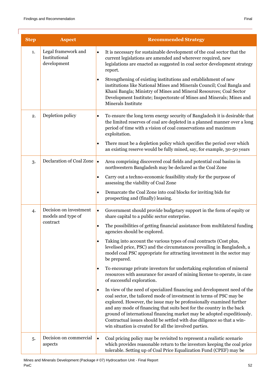| <b>Step</b> | <b>Aspect</b>                                       | <b>Recommended Strategy</b>                                                                                                                                                                                                                                                                                                                                                                                                                                                                                                |
|-------------|-----------------------------------------------------|----------------------------------------------------------------------------------------------------------------------------------------------------------------------------------------------------------------------------------------------------------------------------------------------------------------------------------------------------------------------------------------------------------------------------------------------------------------------------------------------------------------------------|
| 1.          | Legal framework and<br>Institutional<br>development | It is necessary for sustainable development of the coal sector that the<br>$\bullet$<br>current legislations are amended and wherever required, new<br>legislations are enacted as suggested in coal sector development strategy<br>report.                                                                                                                                                                                                                                                                                |
|             |                                                     | Strengthening of existing institutions and establishment of new<br>$\bullet$<br>institutions like National Mines and Minerals Council; Coal Bangla and<br>Khani Bangla; Ministry of Mines and Mineral Resources; Coal Sector<br>Development Institute; Inspectorate of Mines and Minerals; Mines and<br>Minerals Institute                                                                                                                                                                                                 |
| 2.          | Depletion policy                                    | To ensure the long term energy security of Bangladesh it is desirable that<br>$\bullet$<br>the limited reserves of coal are depleted in a planned manner over a long<br>period of time with a vision of coal conservations and maximum<br>exploitation.                                                                                                                                                                                                                                                                    |
|             |                                                     | There must be a depletion policy which specifies the period over which<br>$\bullet$<br>an existing reserve would be fully mined, say, for example, 30-50 years                                                                                                                                                                                                                                                                                                                                                             |
| 3.          | Declaration of Coal Zone                            | Area comprising discovered coal fields and potential coal basins in<br>$\bullet$<br>northwestern Bangladesh may be declared as the Coal Zone                                                                                                                                                                                                                                                                                                                                                                               |
|             |                                                     | Carry out a techno-economic feasibility study for the purpose of<br>$\bullet$<br>assessing the viability of Coal Zone                                                                                                                                                                                                                                                                                                                                                                                                      |
|             |                                                     | Demarcate the Coal Zone into coal blocks for inviting bids for<br>$\bullet$<br>prospecting and (finally) leasing.                                                                                                                                                                                                                                                                                                                                                                                                          |
| 4.          | Decision on investment<br>models and type of        | Government should provide budgetary support in the form of equity or<br>$\bullet$<br>share capital to a public sector enterprise.                                                                                                                                                                                                                                                                                                                                                                                          |
|             | contract                                            | The possibilities of getting financial assistance from multilateral funding<br>$\bullet$<br>agencies should be explored.                                                                                                                                                                                                                                                                                                                                                                                                   |
|             |                                                     | Taking into account the various types of coal contracts (Cost plus,<br>$\bullet$<br>levelised price, PSC) and the circumstances prevailing in Bangladesh, a<br>model coal PSC appropriate for attracting investment in the sector may<br>be prepared.                                                                                                                                                                                                                                                                      |
|             |                                                     | To encourage private investors for undertaking exploration of mineral<br>٠<br>resources with assurance for award of mining license to operate, in case<br>of successful exploration.                                                                                                                                                                                                                                                                                                                                       |
|             |                                                     | In view of the need of specialized financing and development need of the<br>$\bullet$<br>coal sector, the tailored mode of investment in terms of PSC may be<br>explored. However, the issue may be professionally examined further<br>and any mode of financing that suits best for the country in the back<br>ground of international financing market may be adopted expeditiously.<br>Contractual issues should be settled with due diligence so that a win-<br>win situation is created for all the involved parties. |
| 5.          | Decision on commercial<br>aspects                   | Coal pricing policy may be revisited to represent a realistic scenario<br>$\bullet$<br>which provides reasonable return to the investors keeping the coal price<br>tolerable. Setting up of Coal Price Equalization Fund (CPEF) may be                                                                                                                                                                                                                                                                                     |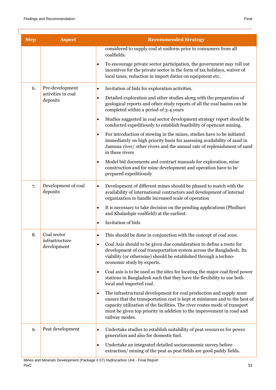| <b>Step</b>                         | <b>Aspect</b>                                                                                                                                                                                                                                                 | <b>Recommended Strategy</b>                                                                                                                                                                                                                                                                                                            |
|-------------------------------------|---------------------------------------------------------------------------------------------------------------------------------------------------------------------------------------------------------------------------------------------------------------|----------------------------------------------------------------------------------------------------------------------------------------------------------------------------------------------------------------------------------------------------------------------------------------------------------------------------------------|
|                                     |                                                                                                                                                                                                                                                               | considered to supply coal at uniform price to consumers from all<br>coalfields.                                                                                                                                                                                                                                                        |
|                                     |                                                                                                                                                                                                                                                               | To encourage private sector participation, the government may roll out<br>$\bullet$<br>incentives for the private sector in the form of tax holidays, waiver of<br>local taxes, reduction in import duties on equipment etc.                                                                                                           |
| 6.                                  | Pre-development                                                                                                                                                                                                                                               | Invitation of bids for exploration activities.<br>$\bullet$                                                                                                                                                                                                                                                                            |
|                                     | activities in coal<br>deposits                                                                                                                                                                                                                                | Detailed exploration and other studies along with the preparation of<br>$\bullet$<br>geological reports and other study reports of all the coal basins can be<br>completed within a period of 3-4 years                                                                                                                                |
|                                     |                                                                                                                                                                                                                                                               | Studies suggested in coal sector development strategy report should be<br>$\bullet$<br>conducted expeditiously to establish feasibility of opencast mining.                                                                                                                                                                            |
|                                     | For introduction of stowing in the mines, studies have to be initiated<br>$\bullet$<br>immediately on high priority basis for assessing availability of sand in<br>Jamuna river/ other rivers and the annual rate of replenishment of sand<br>in these rivers |                                                                                                                                                                                                                                                                                                                                        |
|                                     |                                                                                                                                                                                                                                                               | Model bid documents and contract manuals for exploration, mine<br>$\bullet$<br>construction and for mine development and operation have to be<br>prepared expeditiously                                                                                                                                                                |
| 7.                                  | Development of coal<br>deposits                                                                                                                                                                                                                               | Development of different mines should be phased to match with the<br>$\bullet$<br>availability of international contractors and development of internal<br>organization to handle increased scale of operation                                                                                                                         |
|                                     |                                                                                                                                                                                                                                                               | It is necessary to take decision on the pending applications (Phulbari<br>$\bullet$<br>and Khalashpir coalfield) at the earliest.                                                                                                                                                                                                      |
|                                     |                                                                                                                                                                                                                                                               | Invitation of bids<br>$\bullet$                                                                                                                                                                                                                                                                                                        |
| Coal sector<br>8.<br>infrastructure | This should be done in conjunction with the concept of coal zone.<br>$\bullet$                                                                                                                                                                                |                                                                                                                                                                                                                                                                                                                                        |
|                                     | development                                                                                                                                                                                                                                                   | Coal Axis should to be given due consideration to define a route for<br>$\bullet$<br>development of coal transportation system across the Bangladesh. Its<br>viability (or otherwise) should be established through a techno-<br>economic study by experts.                                                                            |
|                                     |                                                                                                                                                                                                                                                               | Coal axis is to be used as the sites for locating the major coal fired power<br>$\bullet$<br>stations in Bangladesh such that they have the flexibility to use both<br>local and imported coal.                                                                                                                                        |
|                                     |                                                                                                                                                                                                                                                               | The infrastructural development for coal production and supply must<br>$\bullet$<br>ensure that the transportation cost is kept at minimum and to the best of<br>capacity utilization of the facilities. The river routes mode of transport<br>must be given top priority in addition to the improvement in road and<br>railway modes. |
| 9.                                  | Peat development                                                                                                                                                                                                                                              | Undertake studies to establish suitability of peat resources for power<br>$\bullet$<br>generation and also for domestic fuel.                                                                                                                                                                                                          |
|                                     |                                                                                                                                                                                                                                                               | Undertake an integrated detailed socioeconomic survey before<br>$\bullet$<br>extraction/mining of the peat as peat fields are good paddy fields.                                                                                                                                                                                       |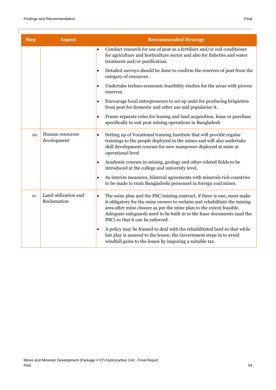| <b>Step</b> | <b>Aspect</b>                       | <b>Recommended Strategy</b>                                                                                                                                                                                                                                                                                                                           |
|-------------|-------------------------------------|-------------------------------------------------------------------------------------------------------------------------------------------------------------------------------------------------------------------------------------------------------------------------------------------------------------------------------------------------------|
|             |                                     | Conduct research for use of peat as a fertilizer and/or soil conditioner<br>$\bullet$<br>for agriculture and horticulture sector and also for fisheries and water<br>treatment and/or purification.                                                                                                                                                   |
|             |                                     | Detailed surveys should be done to confirm the reserves of peat from the<br>$\bullet$<br>category of resources.                                                                                                                                                                                                                                       |
|             |                                     | Undertake techno-economic feasibility studies for the areas with proven<br>$\bullet$<br>reserves.                                                                                                                                                                                                                                                     |
|             |                                     | Encourage local entrepreneurs to set up units for producing briquettes<br>$\bullet$<br>from peat for domestic and other use and popularize it.                                                                                                                                                                                                        |
|             |                                     | Frame separate rules for leasing and land acquisition, lease or purchase<br>$\bullet$<br>specifically to suit peat mining operations in Bangladesh                                                                                                                                                                                                    |
| 10.         | Human resources<br>development      | Setting up of Vocational training Institute that will provide regular<br>$\bullet$<br>trainings to the people deployed in the mines and will also undertake<br>skill development courses for new manpower deployed at mine at<br>operational level                                                                                                    |
|             |                                     | Academic courses in mining, geology and other related fields to be<br>$\bullet$<br>introduced at the college and university level.                                                                                                                                                                                                                    |
|             |                                     | As interim measures, bilateral agreements with minerals rich countries<br>$\bullet$<br>to be made to train Bangladeshi personnel in foreign coal mines.                                                                                                                                                                                               |
| 11.         | Land utilization and<br>Reclamation | The mine plan and the PSC/mining contract, if there is one, must make<br>$\bullet$<br>it obligatory for the mine owners to reclaim and rehabilitate the mining<br>area after mine closure as per the mine plan to the extent feasible.<br>Adequate safeguards need to be built in to the lease documents (and the<br>PSC) so that it can be enforced. |
|             |                                     | A policy may be framed to deal with the rehabilitated land so that while<br>$\bullet$<br>fair play is assured to the lessee, the Government steps in to avoid<br>windfall gains to the lessee by imposing a suitable tax.                                                                                                                             |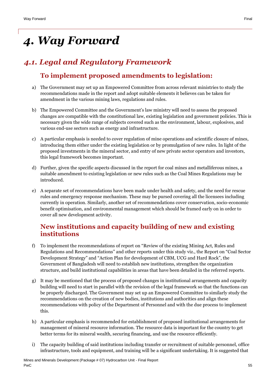# <span id="page-54-0"></span>*4. Way Forward*

# <span id="page-54-2"></span><span id="page-54-1"></span>*4.1. Legal and Regulatory Framework*

## **To implement proposed amendments to legislation:**

- a) The Government may set up an Empowered Committee from across relevant ministries to study the recommendations made in the report and adopt suitable elements it believes can be taken for amendment in the various mining laws, regulations and rules.
- b) The Empowered Committee and the Government's law ministry will need to assess the proposed changes are compatible with the constitutional law, existing legislation and government policies. This is necessary given the wide range of subjects covered such as the environment, labour, explosives, and various end-use sectors such as energy and infrastructure.
- c) A particular emphasis is needed to cover regulation of mine operations and scientific closure of mines, introducing them either under the existing legislation or by promulgation of new rules. In light of the proposed investments in the mineral sector, and entry of new private sector operators and investors, this legal framework becomes important.
- d) Further, given the specific aspects discussed in the report for coal mines and metalliferous mines, a suitable amendment to existing legislation or new rules such as the Coal Mines Regulations may be introduced.
- e) A separate set of recommendations have been made under health and safety, and the need for rescue rules and emergency response mechanism. These may be pursed covering all the licensees including currently in operation. Similarly, another set of recommendations cover conservation, socio-economic benefit optimisation, and environmental management which should be framed early on in order to cover all new development activity.

## <span id="page-54-3"></span>**New institutions and capacity building of new and existing institutions**

- f) To implement the recommendations of report on "Review of the existing Mining Act, Rules and Regulations and Recommendations" and other reports under this study viz., the Report on "Coal Sector Development Strategy" and "Action Plan for development of CBM, UCG and Hard Rock", the Government of Bangladesh will need to establish new institutions, strengthen the organization structure, and build institutional capabilities in areas that have been detailed in the referred reports.
- g) It may be mentioned that the process of proposed changes in institutional arrangements and capacity building will need to start in parallel with the revision of the legal framework so that the functions can be properly discharged. The Government may set up an Empowered Committee to similarly study the recommendations on the creation of new bodies, institutions and authorities and align these recommendations with policy of the Department of Personnel and with the due process to implement this.
- h) A particular emphasis is recommended for establishment of proposed institutional arrangements for management of mineral resource information. The resource data is important for the country to get better terms for its mineral wealth, securing financing, and use the resource efficiently.
- i) The capacity building of said institutions including transfer or recruitment of suitable personnel, office infrastructure, tools and equipment, and training will be a significant undertaking. It is suggested that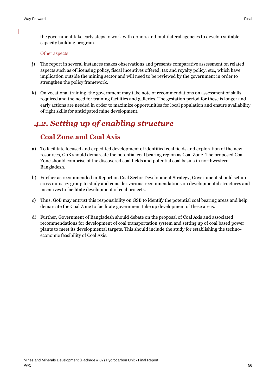the government take early steps to work with donors and multilateral agencies to develop suitable capacity building program.

#### Other aspects

- j) The report in several instances makes observations and presents comparative assessment on related aspects such as of licensing policy, fiscal incentives offered, tax and royalty policy, etc., which have implication outside the mining sector and will need to be reviewed by the government in order to strengthen the policy framework.
- k) On vocational training, the government may take note of recommendations on assessment of skills required and the need for training facilities and galleries. The gestation period for these is longer and early actions are needed in order to maximize opportunities for local population and ensure availability of right skills for anticipated mine development.

# <span id="page-55-0"></span>*4.2. Setting up of enabling structure*

### **Coal Zone and Coal Axis**

- <span id="page-55-1"></span>a) To facilitate focused and expedited development of identified coal fields and exploration of the new resources, GoB should demarcate the potential coal bearing region as Coal Zone. The proposed Coal Zone should comprise of the discovered coal fields and potential coal basins in northwestern Bangladesh.
- b) Further as recommended in Report on Coal Sector Development Strategy, Government should set up cross ministry group to study and consider various recommendations on developmental structures and incentives to facilitate development of coal projects.
- c) Thus, GoB may entrust this responsibility on GSB to identify the potential coal bearing areas and help demarcate the Coal Zone to facilitate government take up development of these areas.
- d) Further, Government of Bangladesh should debate on the proposal of Coal Axis and associated recommendations for development of coal transportation system and setting up of coal based power plants to meet its developmental targets. This should include the study for establishing the technoeconomic feasibility of Coal Axis.